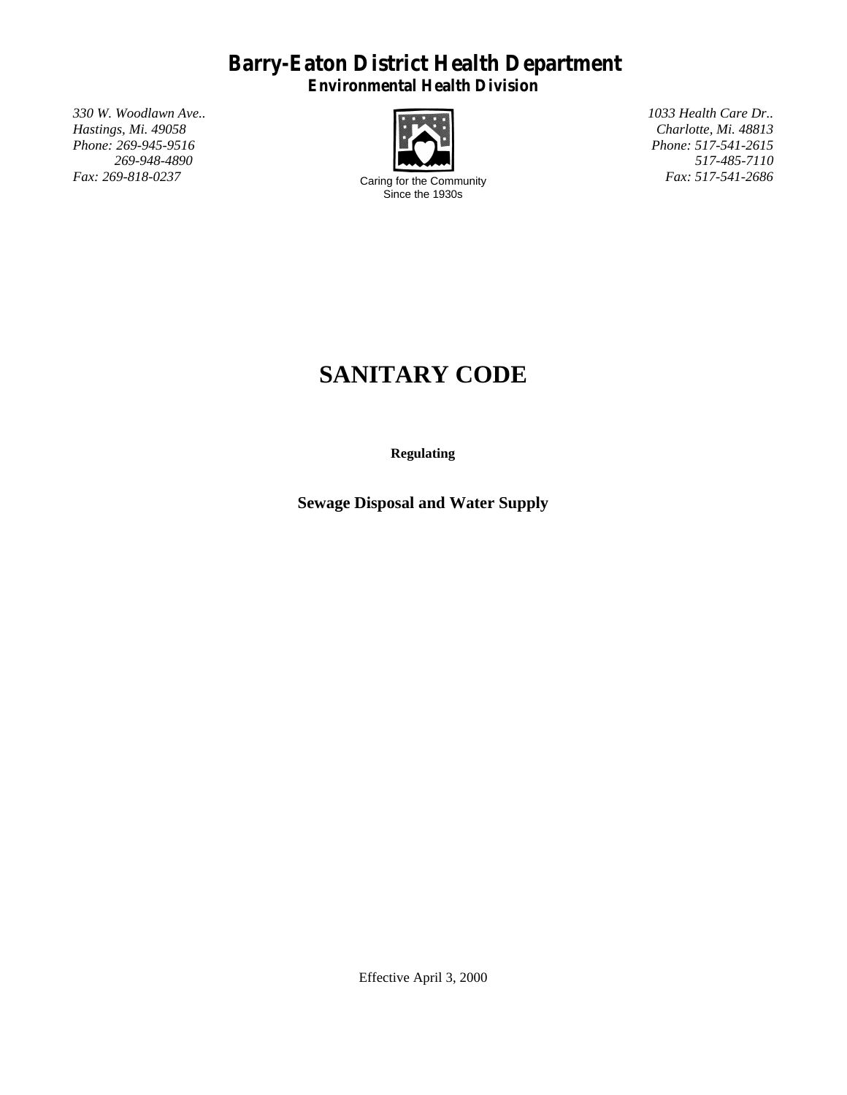# **Barry-Eaton District Health Department**

**Environmental Health Division**

*330 W. Woodlawn Ave.. 1033 Health Care Dr.. Phone: 269-945-9516 Phone: 517-541-2615 269-948-4890*



Caring for the Community Since the 1930s

*Hastings, Mi. 49058 Charlotte, Mi. 48813 517-485-7110 Fax: 517-541-2686*

# **SANITARY CODE**

**Regulating**

**Sewage Disposal and Water Supply**

Effective April 3, 2000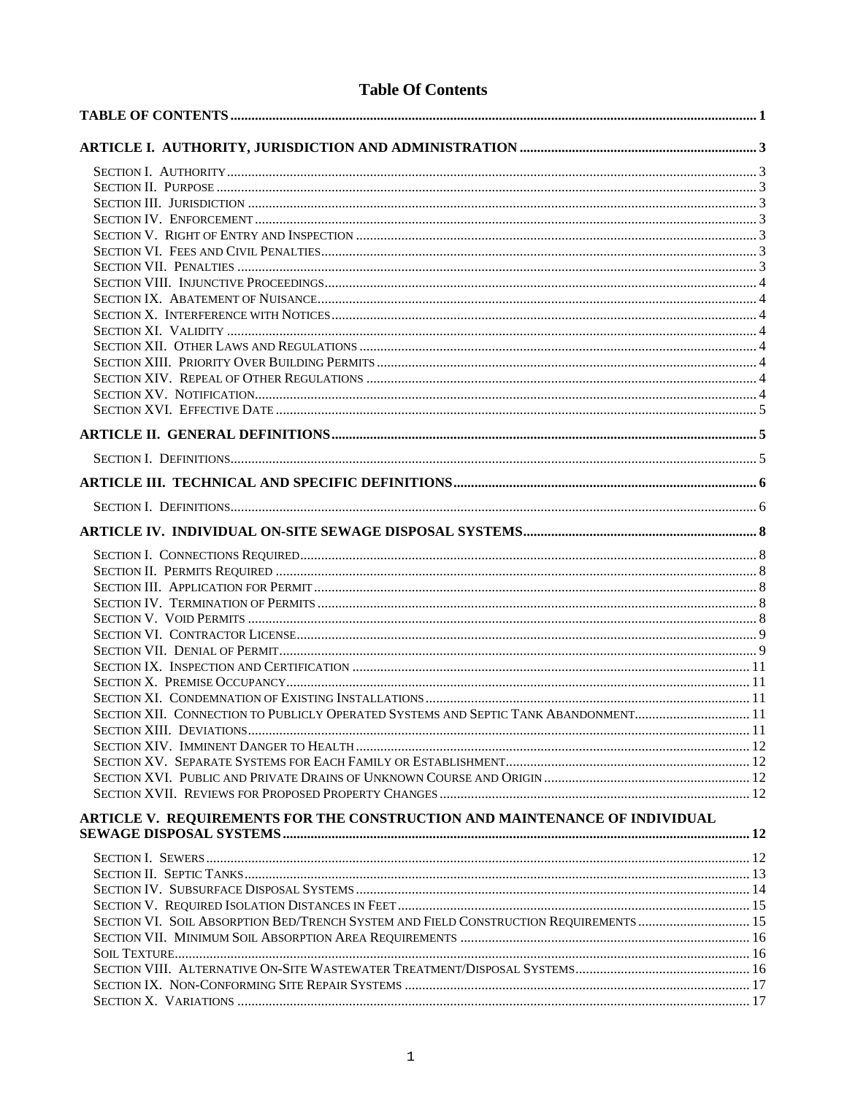# **Table Of Contents**

| SECTION XII. CONNECTION TO PUBLICLY OPERATED SYSTEMS AND SEPTIC TANK ABANDONMENT11   |  |
|--------------------------------------------------------------------------------------|--|
| SECTION XIII DEVIATIONS                                                              |  |
|                                                                                      |  |
|                                                                                      |  |
|                                                                                      |  |
|                                                                                      |  |
| ARTICLE V. REQUIREMENTS FOR THE CONSTRUCTION AND MAINTENANCE OF INDIVIDUAL           |  |
|                                                                                      |  |
|                                                                                      |  |
|                                                                                      |  |
|                                                                                      |  |
| SECTION VI. SOIL ABSORPTION BED/TRENCH SYSTEM AND FIELD CONSTRUCTION REQUIREMENTS 15 |  |
|                                                                                      |  |
|                                                                                      |  |
|                                                                                      |  |
|                                                                                      |  |
|                                                                                      |  |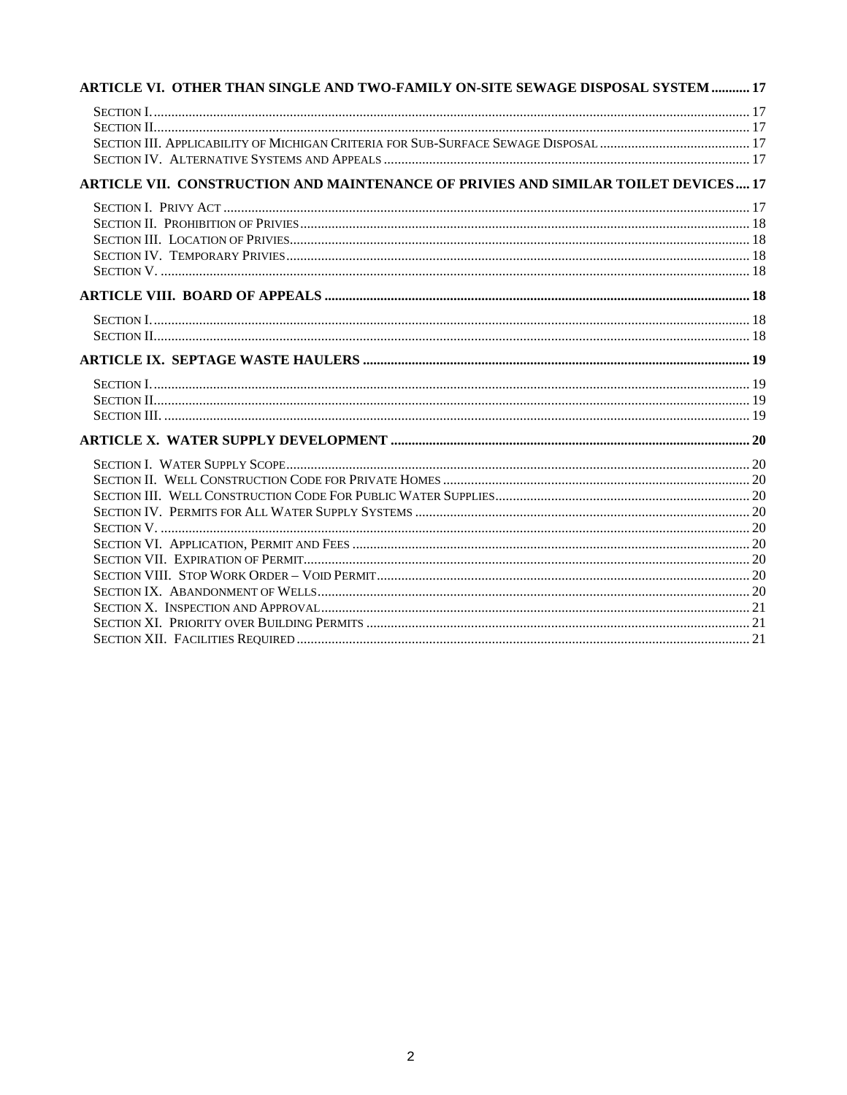| ARTICLE VI. OTHER THAN SINGLE AND TWO-FAMILY ON-SITE SEWAGE DISPOSAL SYSTEM  17    |  |
|------------------------------------------------------------------------------------|--|
|                                                                                    |  |
|                                                                                    |  |
|                                                                                    |  |
|                                                                                    |  |
| ARTICLE VII. CONSTRUCTION AND MAINTENANCE OF PRIVIES AND SIMILAR TOILET DEVICES 17 |  |
|                                                                                    |  |
|                                                                                    |  |
|                                                                                    |  |
|                                                                                    |  |
|                                                                                    |  |
|                                                                                    |  |
|                                                                                    |  |
|                                                                                    |  |
|                                                                                    |  |
|                                                                                    |  |
|                                                                                    |  |
|                                                                                    |  |
|                                                                                    |  |
|                                                                                    |  |
|                                                                                    |  |
|                                                                                    |  |
|                                                                                    |  |
|                                                                                    |  |
|                                                                                    |  |
|                                                                                    |  |
|                                                                                    |  |
|                                                                                    |  |
|                                                                                    |  |
|                                                                                    |  |
|                                                                                    |  |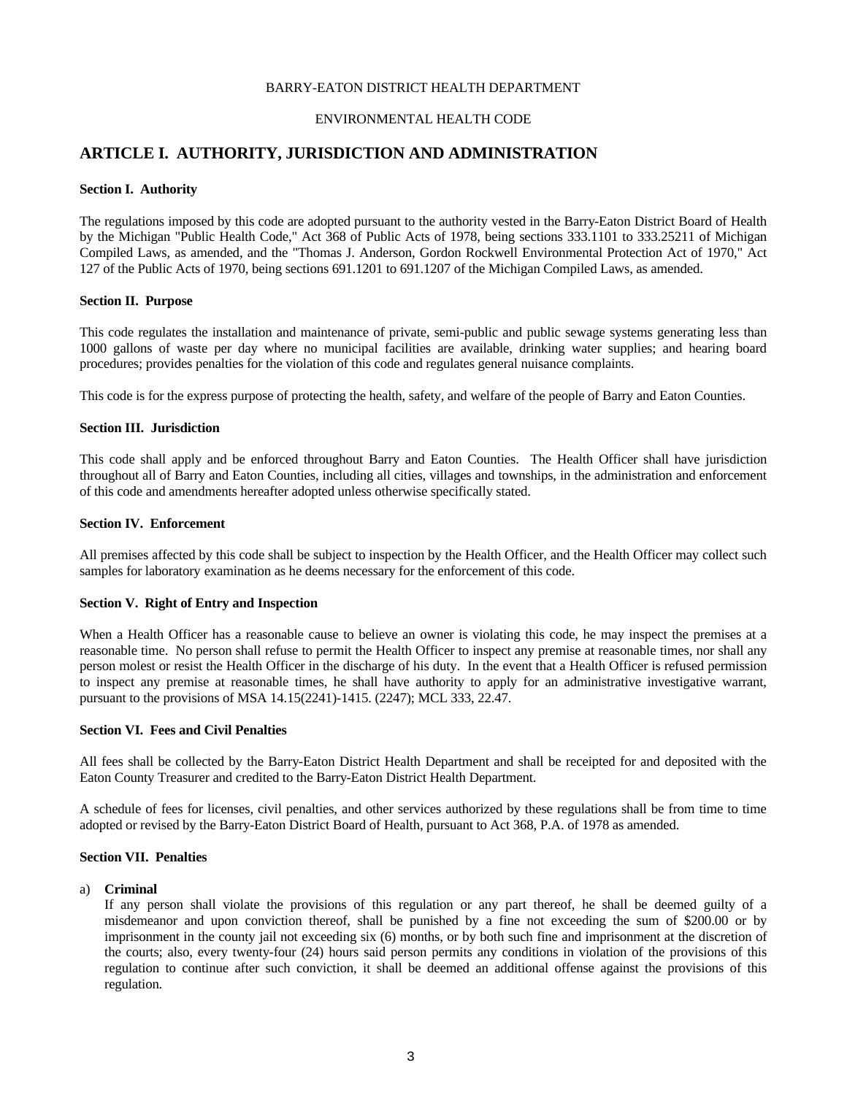## BARRY-EATON DISTRICT HEALTH DEPARTMENT

## ENVIRONMENTAL HEALTH CODE

# **ARTICLE I. AUTHORITY, JURISDICTION AND ADMINISTRATION**

## **Section I. Authority**

The regulations imposed by this code are adopted pursuant to the authority vested in the Barry-Eaton District Board of Health by the Michigan "Public Health Code," Act 368 of Public Acts of 1978, being sections 333.1101 to 333.25211 of Michigan Compiled Laws, as amended, and the "Thomas J. Anderson, Gordon Rockwell Environmental Protection Act of 1970," Act 127 of the Public Acts of 1970, being sections 691.1201 to 691.1207 of the Michigan Compiled Laws, as amended.

#### **Section II. Purpose**

This code regulates the installation and maintenance of private, semi-public and public sewage systems generating less than 1000 gallons of waste per day where no municipal facilities are available, drinking water supplies; and hearing board procedures; provides penalties for the violation of this code and regulates general nuisance complaints.

This code is for the express purpose of protecting the health, safety, and welfare of the people of Barry and Eaton Counties.

#### **Section III. Jurisdiction**

This code shall apply and be enforced throughout Barry and Eaton Counties. The Health Officer shall have jurisdiction throughout all of Barry and Eaton Counties, including all cities, villages and townships, in the administration and enforcement of this code and amendments hereafter adopted unless otherwise specifically stated.

## **Section IV. Enforcement**

All premises affected by this code shall be subject to inspection by the Health Officer, and the Health Officer may collect such samples for laboratory examination as he deems necessary for the enforcement of this code.

## **Section V. Right of Entry and Inspection**

When a Health Officer has a reasonable cause to believe an owner is violating this code, he may inspect the premises at a reasonable time. No person shall refuse to permit the Health Officer to inspect any premise at reasonable times, nor shall any person molest or resist the Health Officer in the discharge of his duty. In the event that a Health Officer is refused permission to inspect any premise at reasonable times, he shall have authority to apply for an administrative investigative warrant, pursuant to the provisions of MSA 14.15(2241)-1415. (2247); MCL 333, 22.47.

## **Section VI. Fees and Civil Penalties**

All fees shall be collected by the Barry-Eaton District Health Department and shall be receipted for and deposited with the Eaton County Treasurer and credited to the Barry-Eaton District Health Department.

A schedule of fees for licenses, civil penalties, and other services authorized by these regulations shall be from time to time adopted or revised by the Barry-Eaton District Board of Health, pursuant to Act 368, P.A. of 1978 as amended.

## **Section VII. Penalties**

#### a) **Criminal**

If any person shall violate the provisions of this regulation or any part thereof, he shall be deemed guilty of a misdemeanor and upon conviction thereof, shall be punished by a fine not exceeding the sum of \$200.00 or by imprisonment in the county jail not exceeding six (6) months, or by both such fine and imprisonment at the discretion of the courts; also, every twenty-four (24) hours said person permits any conditions in violation of the provisions of this regulation to continue after such conviction, it shall be deemed an additional offense against the provisions of this regulation.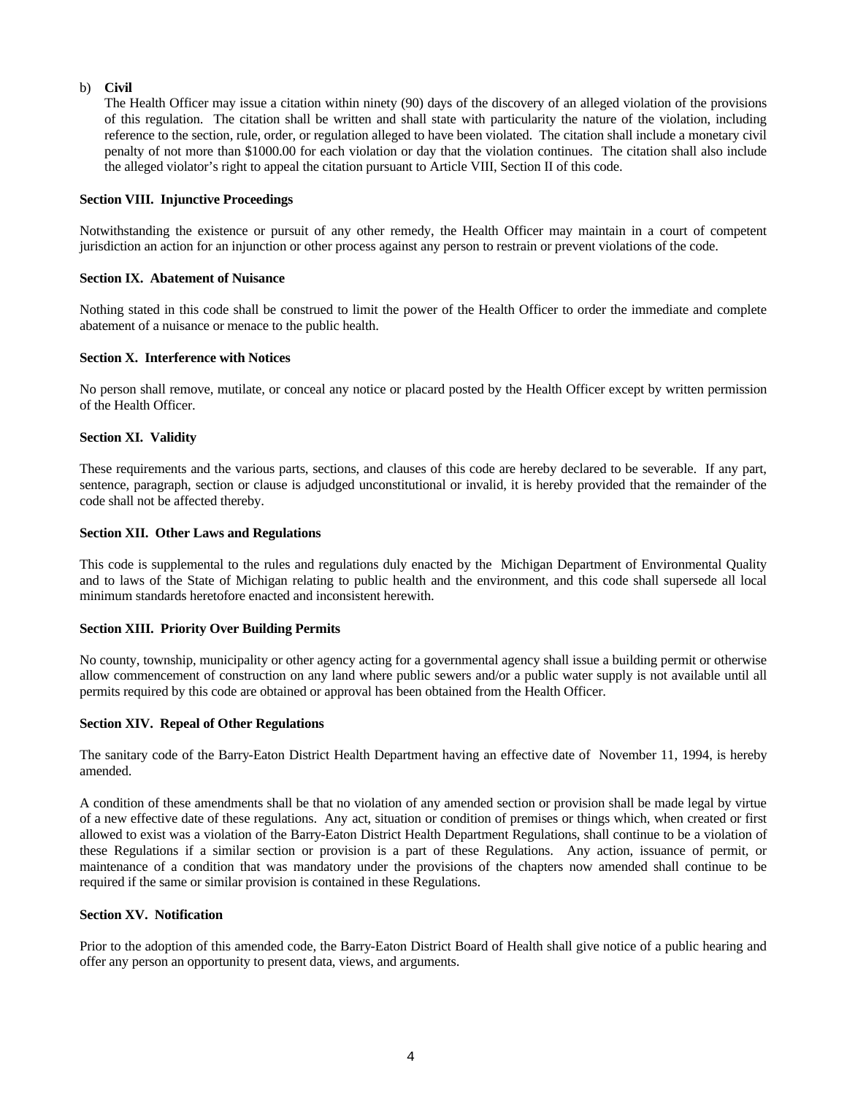## b) **Civil**

The Health Officer may issue a citation within ninety (90) days of the discovery of an alleged violation of the provisions of this regulation. The citation shall be written and shall state with particularity the nature of the violation, including reference to the section, rule, order, or regulation alleged to have been violated. The citation shall include a monetary civil penalty of not more than \$1000.00 for each violation or day that the violation continues. The citation shall also include the alleged violator's right to appeal the citation pursuant to Article VIII, Section II of this code.

## **Section VIII. Injunctive Proceedings**

Notwithstanding the existence or pursuit of any other remedy, the Health Officer may maintain in a court of competent jurisdiction an action for an injunction or other process against any person to restrain or prevent violations of the code.

## **Section IX. Abatement of Nuisance**

Nothing stated in this code shall be construed to limit the power of the Health Officer to order the immediate and complete abatement of a nuisance or menace to the public health.

## **Section X. Interference with Notices**

No person shall remove, mutilate, or conceal any notice or placard posted by the Health Officer except by written permission of the Health Officer.

## **Section XI. Validity**

These requirements and the various parts, sections, and clauses of this code are hereby declared to be severable. If any part, sentence, paragraph, section or clause is adjudged unconstitutional or invalid, it is hereby provided that the remainder of the code shall not be affected thereby.

## **Section XII. Other Laws and Regulations**

This code is supplemental to the rules and regulations duly enacted by the Michigan Department of Environmental Quality and to laws of the State of Michigan relating to public health and the environment, and this code shall supersede all local minimum standards heretofore enacted and inconsistent herewith.

## **Section XIII. Priority Over Building Permits**

No county, township, municipality or other agency acting for a governmental agency shall issue a building permit or otherwise allow commencement of construction on any land where public sewers and/or a public water supply is not available until all permits required by this code are obtained or approval has been obtained from the Health Officer.

## **Section XIV. Repeal of Other Regulations**

The sanitary code of the Barry-Eaton District Health Department having an effective date of November 11, 1994, is hereby amended.

A condition of these amendments shall be that no violation of any amended section or provision shall be made legal by virtue of a new effective date of these regulations. Any act, situation or condition of premises or things which, when created or first allowed to exist was a violation of the Barry-Eaton District Health Department Regulations, shall continue to be a violation of these Regulations if a similar section or provision is a part of these Regulations. Any action, issuance of permit, or maintenance of a condition that was mandatory under the provisions of the chapters now amended shall continue to be required if the same or similar provision is contained in these Regulations.

## **Section XV. Notification**

Prior to the adoption of this amended code, the Barry-Eaton District Board of Health shall give notice of a public hearing and offer any person an opportunity to present data, views, and arguments.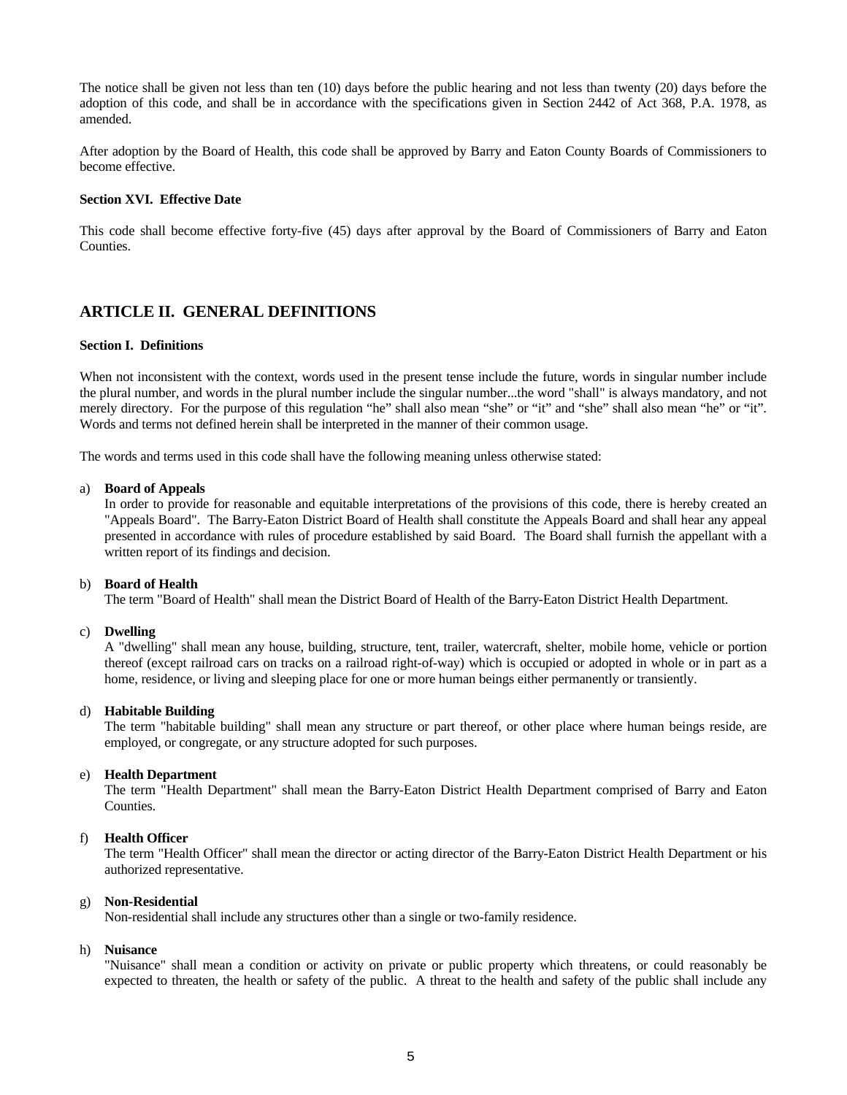The notice shall be given not less than ten (10) days before the public hearing and not less than twenty (20) days before the adoption of this code, and shall be in accordance with the specifications given in Section 2442 of Act 368, P.A. 1978, as amended.

After adoption by the Board of Health, this code shall be approved by Barry and Eaton County Boards of Commissioners to become effective.

## **Section XVI. Effective Date**

This code shall become effective forty-five (45) days after approval by the Board of Commissioners of Barry and Eaton Counties.

# **ARTICLE II. GENERAL DEFINITIONS**

## **Section I. Definitions**

When not inconsistent with the context, words used in the present tense include the future, words in singular number include the plural number, and words in the plural number include the singular number...the word "shall" is always mandatory, and not merely directory. For the purpose of this regulation "he" shall also mean "she" or "it" and "she" shall also mean "he" or "it". Words and terms not defined herein shall be interpreted in the manner of their common usage.

The words and terms used in this code shall have the following meaning unless otherwise stated:

#### a) **Board of Appeals**

In order to provide for reasonable and equitable interpretations of the provisions of this code, there is hereby created an "Appeals Board". The Barry-Eaton District Board of Health shall constitute the Appeals Board and shall hear any appeal presented in accordance with rules of procedure established by said Board. The Board shall furnish the appellant with a written report of its findings and decision.

## b) **Board of Health**

The term "Board of Health" shall mean the District Board of Health of the Barry-Eaton District Health Department.

## c) **Dwelling**

A "dwelling" shall mean any house, building, structure, tent, trailer, watercraft, shelter, mobile home, vehicle or portion thereof (except railroad cars on tracks on a railroad right-of-way) which is occupied or adopted in whole or in part as a home, residence, or living and sleeping place for one or more human beings either permanently or transiently.

## d) **Habitable Building**

The term "habitable building" shall mean any structure or part thereof, or other place where human beings reside, are employed, or congregate, or any structure adopted for such purposes.

## e) **Health Department**

The term "Health Department" shall mean the Barry-Eaton District Health Department comprised of Barry and Eaton Counties.

## f) **Health Officer**

The term "Health Officer" shall mean the director or acting director of the Barry-Eaton District Health Department or his authorized representative.

## g) **Non-Residential**

Non-residential shall include any structures other than a single or two-family residence.

#### h) **Nuisance**

"Nuisance" shall mean a condition or activity on private or public property which threatens, or could reasonably be expected to threaten, the health or safety of the public. A threat to the health and safety of the public shall include any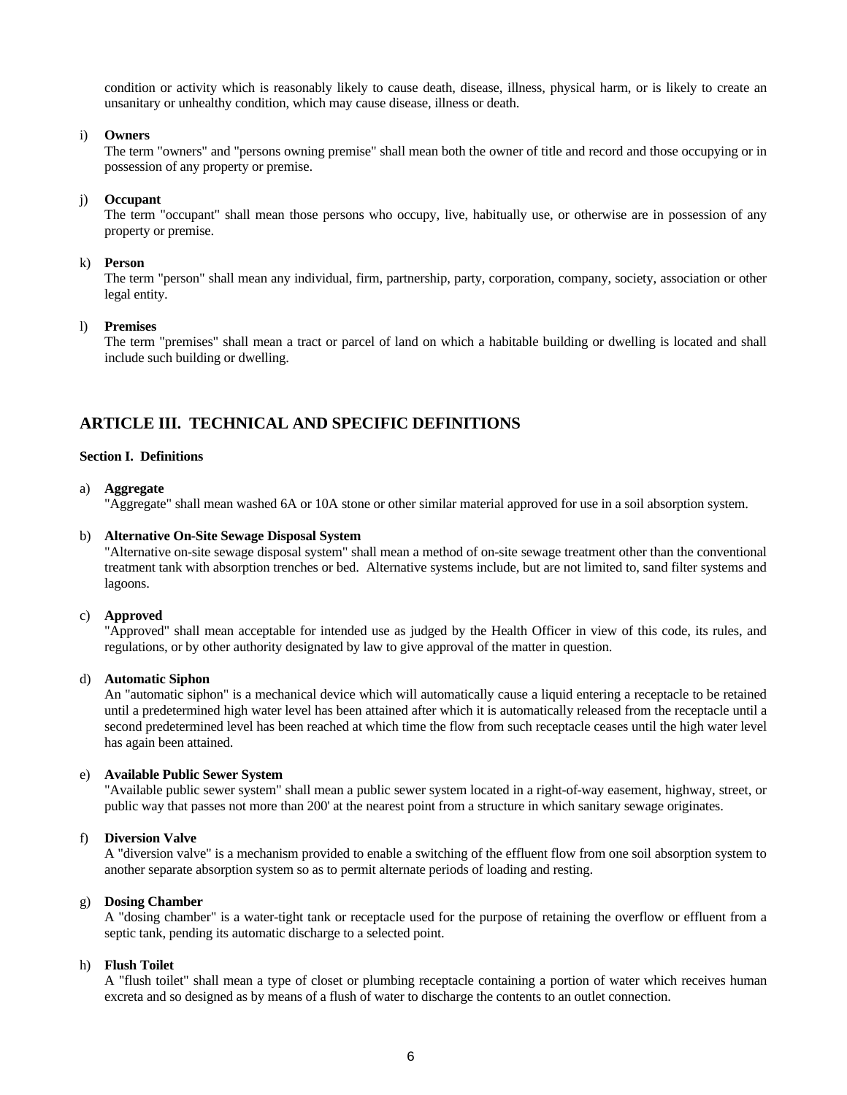condition or activity which is reasonably likely to cause death, disease, illness, physical harm, or is likely to create an unsanitary or unhealthy condition, which may cause disease, illness or death.

## i) **Owners**

The term "owners" and "persons owning premise" shall mean both the owner of title and record and those occupying or in possession of any property or premise.

## j) **Occupant**

The term "occupant" shall mean those persons who occupy, live, habitually use, or otherwise are in possession of any property or premise.

#### k) **Person**

The term "person" shall mean any individual, firm, partnership, party, corporation, company, society, association or other legal entity.

#### l) **Premises**

The term "premises" shall mean a tract or parcel of land on which a habitable building or dwelling is located and shall include such building or dwelling.

# **ARTICLE III. TECHNICAL AND SPECIFIC DEFINITIONS**

## **Section I. Definitions**

#### a) **Aggregate**

"Aggregate" shall mean washed 6A or 10A stone or other similar material approved for use in a soil absorption system.

#### b) **Alternative On-Site Sewage Disposal System**

"Alternative on-site sewage disposal system" shall mean a method of on-site sewage treatment other than the conventional treatment tank with absorption trenches or bed. Alternative systems include, but are not limited to, sand filter systems and lagoons.

## c) **Approved**

"Approved" shall mean acceptable for intended use as judged by the Health Officer in view of this code, its rules, and regulations, or by other authority designated by law to give approval of the matter in question.

## d) **Automatic Siphon**

An "automatic siphon" is a mechanical device which will automatically cause a liquid entering a receptacle to be retained until a predetermined high water level has been attained after which it is automatically released from the receptacle until a second predetermined level has been reached at which time the flow from such receptacle ceases until the high water level has again been attained.

### e) **Available Public Sewer System**

"Available public sewer system" shall mean a public sewer system located in a right-of-way easement, highway, street, or public way that passes not more than 200' at the nearest point from a structure in which sanitary sewage originates.

#### f) **Diversion Valve**

A "diversion valve" is a mechanism provided to enable a switching of the effluent flow from one soil absorption system to another separate absorption system so as to permit alternate periods of loading and resting.

## g) **Dosing Chamber**

A "dosing chamber" is a water-tight tank or receptacle used for the purpose of retaining the overflow or effluent from a septic tank, pending its automatic discharge to a selected point.

## h) **Flush Toilet**

A "flush toilet" shall mean a type of closet or plumbing receptacle containing a portion of water which receives human excreta and so designed as by means of a flush of water to discharge the contents to an outlet connection.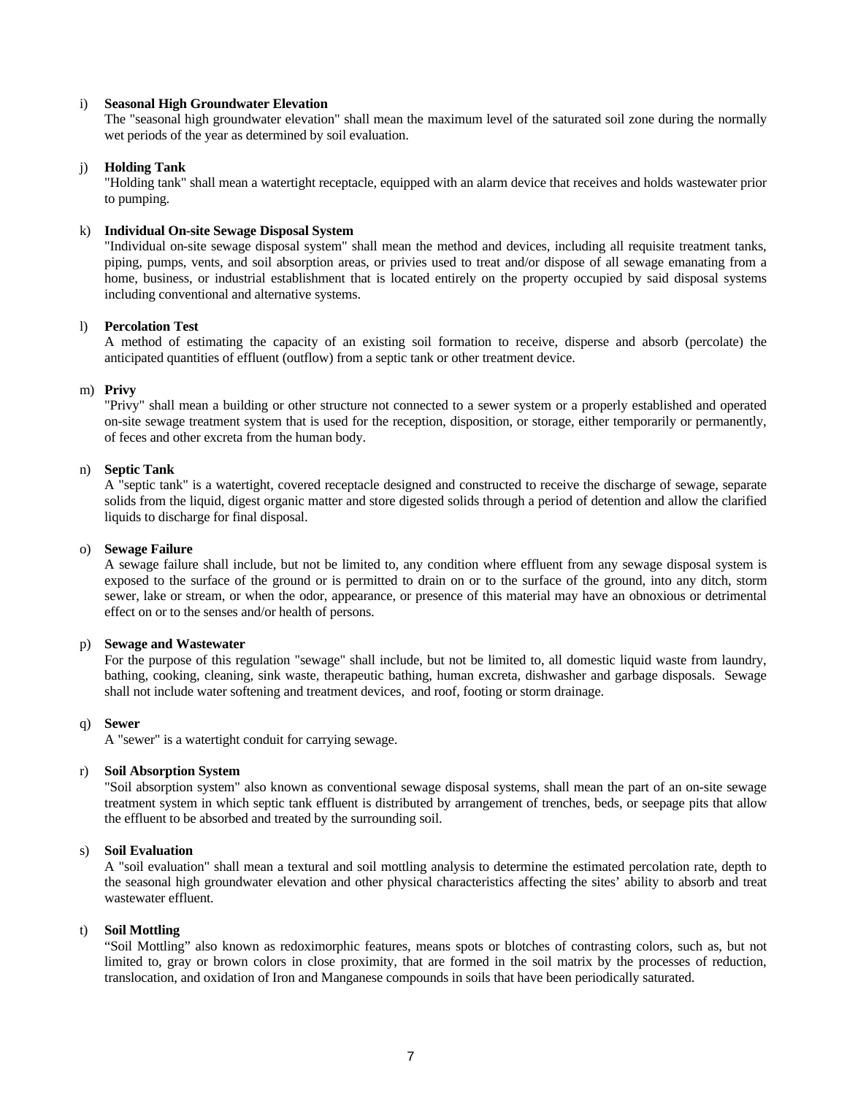## i) **Seasonal High Groundwater Elevation**

The "seasonal high groundwater elevation" shall mean the maximum level of the saturated soil zone during the normally wet periods of the year as determined by soil evaluation.

## j) **Holding Tank**

"Holding tank" shall mean a watertight receptacle, equipped with an alarm device that receives and holds wastewater prior to pumping.

## k) **Individual On-site Sewage Disposal System**

"Individual on-site sewage disposal system" shall mean the method and devices, including all requisite treatment tanks, piping, pumps, vents, and soil absorption areas, or privies used to treat and/or dispose of all sewage emanating from a home, business, or industrial establishment that is located entirely on the property occupied by said disposal systems including conventional and alternative systems.

## l) **Percolation Test**

A method of estimating the capacity of an existing soil formation to receive, disperse and absorb (percolate) the anticipated quantities of effluent (outflow) from a septic tank or other treatment device.

#### m) **Privy**

"Privy" shall mean a building or other structure not connected to a sewer system or a properly established and operated on-site sewage treatment system that is used for the reception, disposition, or storage, either temporarily or permanently, of feces and other excreta from the human body.

#### n) **Septic Tank**

A "septic tank" is a watertight, covered receptacle designed and constructed to receive the discharge of sewage, separate solids from the liquid, digest organic matter and store digested solids through a period of detention and allow the clarified liquids to discharge for final disposal.

#### o) **Sewage Failure**

A sewage failure shall include, but not be limited to, any condition where effluent from any sewage disposal system is exposed to the surface of the ground or is permitted to drain on or to the surface of the ground, into any ditch, storm sewer, lake or stream, or when the odor, appearance, or presence of this material may have an obnoxious or detrimental effect on or to the senses and/or health of persons.

#### p) **Sewage and Wastewater**

For the purpose of this regulation "sewage" shall include, but not be limited to, all domestic liquid waste from laundry, bathing, cooking, cleaning, sink waste, therapeutic bathing, human excreta, dishwasher and garbage disposals. Sewage shall not include water softening and treatment devices, and roof, footing or storm drainage.

## q) **Sewer**

A "sewer" is a watertight conduit for carrying sewage.

#### r) **Soil Absorption System**

"Soil absorption system" also known as conventional sewage disposal systems, shall mean the part of an on-site sewage treatment system in which septic tank effluent is distributed by arrangement of trenches, beds, or seepage pits that allow the effluent to be absorbed and treated by the surrounding soil.

## s) **Soil Evaluation**

A "soil evaluation" shall mean a textural and soil mottling analysis to determine the estimated percolation rate, depth to the seasonal high groundwater elevation and other physical characteristics affecting the sites' ability to absorb and treat wastewater effluent.

#### t) **Soil Mottling**

"Soil Mottling" also known as redoximorphic features, means spots or blotches of contrasting colors, such as, but not limited to, gray or brown colors in close proximity, that are formed in the soil matrix by the processes of reduction, translocation, and oxidation of Iron and Manganese compounds in soils that have been periodically saturated.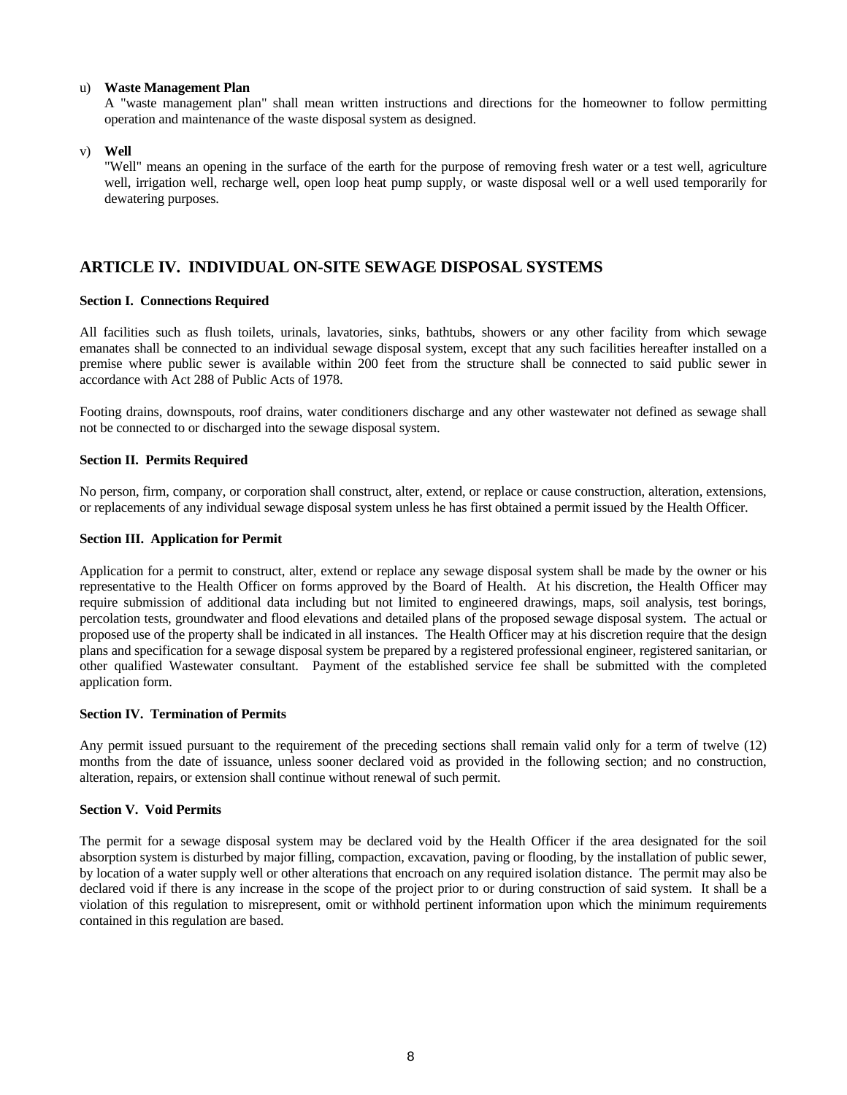## u) **Waste Management Plan**

A "waste management plan" shall mean written instructions and directions for the homeowner to follow permitting operation and maintenance of the waste disposal system as designed.

v) **Well**

"Well" means an opening in the surface of the earth for the purpose of removing fresh water or a test well, agriculture well, irrigation well, recharge well, open loop heat pump supply, or waste disposal well or a well used temporarily for dewatering purposes.

# **ARTICLE IV. INDIVIDUAL ON-SITE SEWAGE DISPOSAL SYSTEMS**

## **Section I. Connections Required**

All facilities such as flush toilets, urinals, lavatories, sinks, bathtubs, showers or any other facility from which sewage emanates shall be connected to an individual sewage disposal system, except that any such facilities hereafter installed on a premise where public sewer is available within 200 feet from the structure shall be connected to said public sewer in accordance with Act 288 of Public Acts of 1978.

Footing drains, downspouts, roof drains, water conditioners discharge and any other wastewater not defined as sewage shall not be connected to or discharged into the sewage disposal system.

## **Section II. Permits Required**

No person, firm, company, or corporation shall construct, alter, extend, or replace or cause construction, alteration, extensions, or replacements of any individual sewage disposal system unless he has first obtained a permit issued by the Health Officer.

## **Section III. Application for Permit**

Application for a permit to construct, alter, extend or replace any sewage disposal system shall be made by the owner or his representative to the Health Officer on forms approved by the Board of Health. At his discretion, the Health Officer may require submission of additional data including but not limited to engineered drawings, maps, soil analysis, test borings, percolation tests, groundwater and flood elevations and detailed plans of the proposed sewage disposal system. The actual or proposed use of the property shall be indicated in all instances. The Health Officer may at his discretion require that the design plans and specification for a sewage disposal system be prepared by a registered professional engineer, registered sanitarian, or other qualified Wastewater consultant. Payment of the established service fee shall be submitted with the completed application form.

## **Section IV. Termination of Permits**

Any permit issued pursuant to the requirement of the preceding sections shall remain valid only for a term of twelve (12) months from the date of issuance, unless sooner declared void as provided in the following section; and no construction, alteration, repairs, or extension shall continue without renewal of such permit.

## **Section V. Void Permits**

The permit for a sewage disposal system may be declared void by the Health Officer if the area designated for the soil absorption system is disturbed by major filling, compaction, excavation, paving or flooding, by the installation of public sewer, by location of a water supply well or other alterations that encroach on any required isolation distance. The permit may also be declared void if there is any increase in the scope of the project prior to or during construction of said system. It shall be a violation of this regulation to misrepresent, omit or withhold pertinent information upon which the minimum requirements contained in this regulation are based.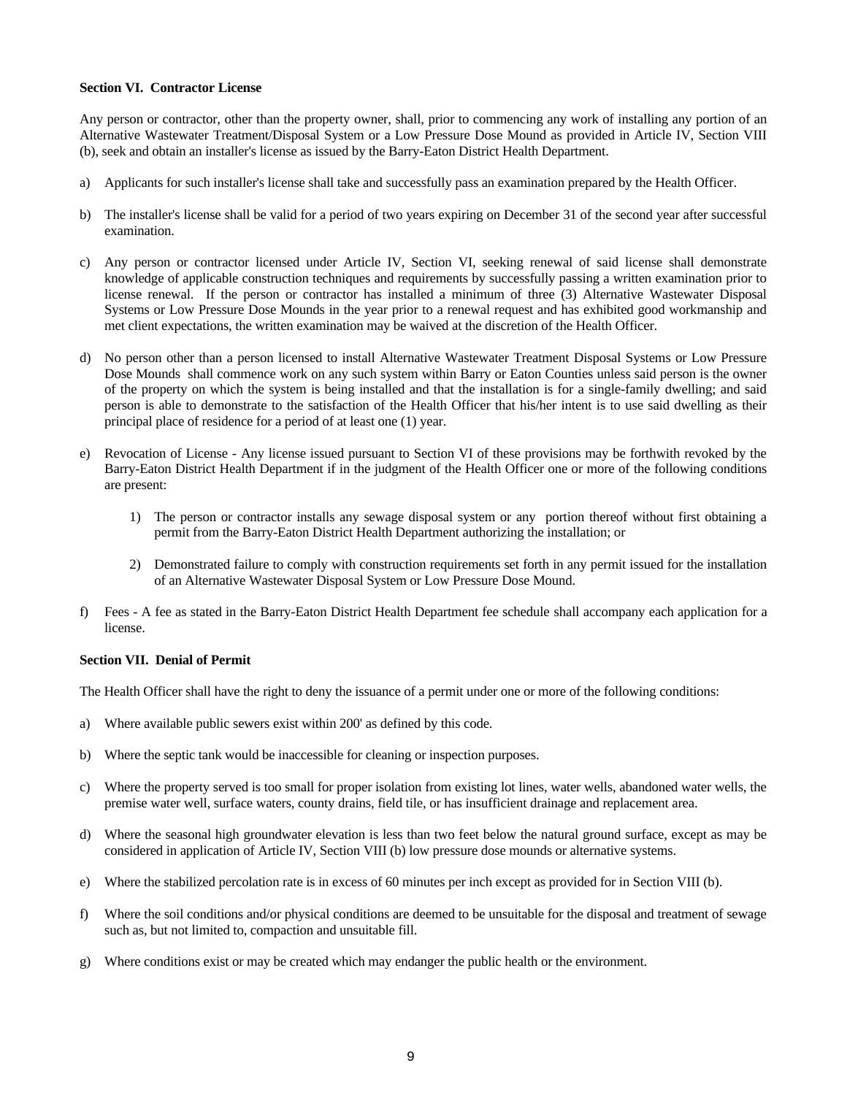## **Section VI. Contractor License**

Any person or contractor, other than the property owner, shall, prior to commencing any work of installing any portion of an Alternative Wastewater Treatment/Disposal System or a Low Pressure Dose Mound as provided in Article IV, Section VIII (b), seek and obtain an installer's license as issued by the Barry-Eaton District Health Department.

- a) Applicants for such installer's license shall take and successfully pass an examination prepared by the Health Officer.
- b) The installer's license shall be valid for a period of two years expiring on December 31 of the second year after successful examination.
- c) Any person or contractor licensed under Article IV, Section VI, seeking renewal of said license shall demonstrate knowledge of applicable construction techniques and requirements by successfully passing a written examination prior to license renewal. If the person or contractor has installed a minimum of three (3) Alternative Wastewater Disposal Systems or Low Pressure Dose Mounds in the year prior to a renewal request and has exhibited good workmanship and met client expectations, the written examination may be waived at the discretion of the Health Officer.
- d) No person other than a person licensed to install Alternative Wastewater Treatment Disposal Systems or Low Pressure Dose Mounds shall commence work on any such system within Barry or Eaton Counties unless said person is the owner of the property on which the system is being installed and that the installation is for a single-family dwelling; and said person is able to demonstrate to the satisfaction of the Health Officer that his/her intent is to use said dwelling as their principal place of residence for a period of at least one (1) year.
- e) Revocation of License Any license issued pursuant to Section VI of these provisions may be forthwith revoked by the Barry-Eaton District Health Department if in the judgment of the Health Officer one or more of the following conditions are present:
	- 1) The person or contractor installs any sewage disposal system or any portion thereof without first obtaining a permit from the Barry-Eaton District Health Department authorizing the installation; or
	- 2) Demonstrated failure to comply with construction requirements set forth in any permit issued for the installation of an Alternative Wastewater Disposal System or Low Pressure Dose Mound.
- f) Fees A fee as stated in the Barry-Eaton District Health Department fee schedule shall accompany each application for a license.

## **Section VII. Denial of Permit**

The Health Officer shall have the right to deny the issuance of a permit under one or more of the following conditions:

- a) Where available public sewers exist within 200' as defined by this code.
- b) Where the septic tank would be inaccessible for cleaning or inspection purposes.
- c) Where the property served is too small for proper isolation from existing lot lines, water wells, abandoned water wells, the premise water well, surface waters, county drains, field tile, or has insufficient drainage and replacement area.
- d) Where the seasonal high groundwater elevation is less than two feet below the natural ground surface, except as may be considered in application of Article IV, Section VIII (b) low pressure dose mounds or alternative systems.
- e) Where the stabilized percolation rate is in excess of 60 minutes per inch except as provided for in Section VIII (b).
- f) Where the soil conditions and/or physical conditions are deemed to be unsuitable for the disposal and treatment of sewage such as, but not limited to, compaction and unsuitable fill.
- g) Where conditions exist or may be created which may endanger the public health or the environment.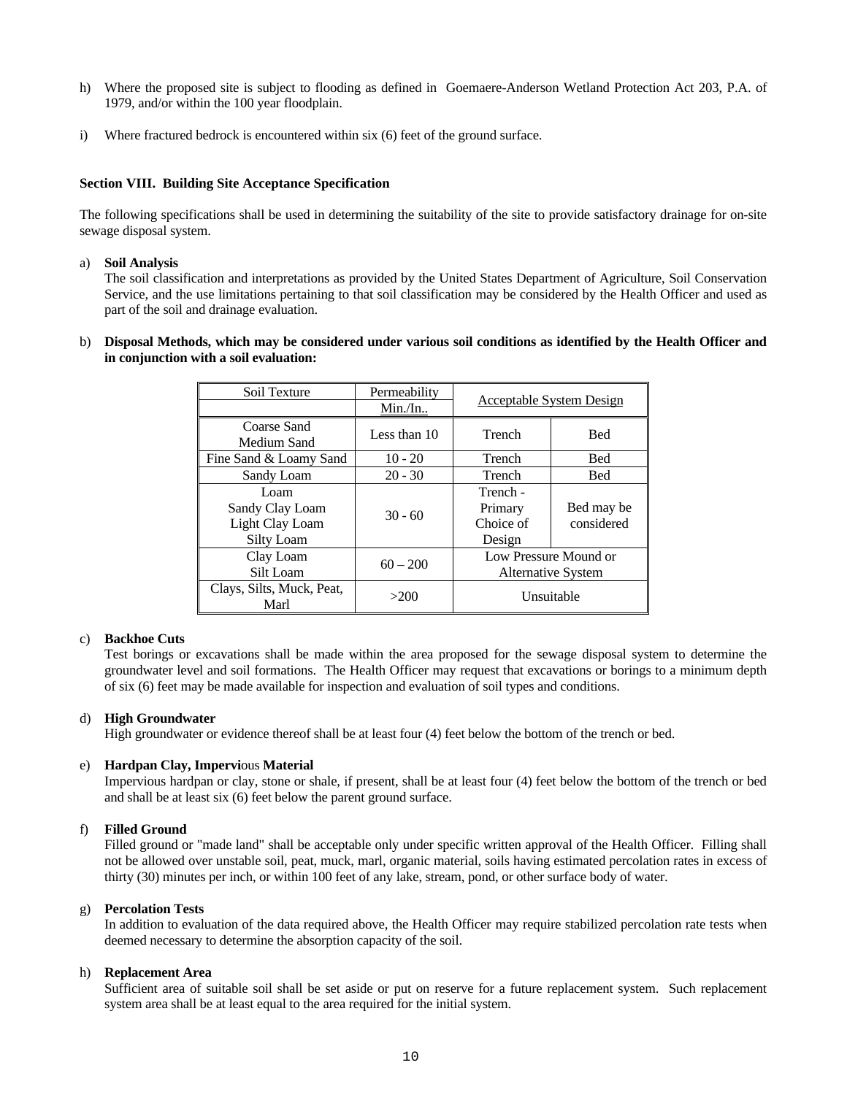- h) Where the proposed site is subject to flooding as defined in Goemaere-Anderson Wetland Protection Act 203, P.A. of 1979, and/or within the 100 year floodplain.
- i) Where fractured bedrock is encountered within six (6) feet of the ground surface.

## **Section VIII. Building Site Acceptance Specification**

The following specifications shall be used in determining the suitability of the site to provide satisfactory drainage for on-site sewage disposal system.

## a) **Soil Analysis**

The soil classification and interpretations as provided by the United States Department of Agriculture, Soil Conservation Service, and the use limitations pertaining to that soil classification may be considered by the Health Officer and used as part of the soil and drainage evaluation.

## b) **Disposal Methods, which may be considered under various soil conditions as identified by the Health Officer and in conjunction with a soil evaluation:**

| Soil Texture              | Permeability |                                                    |            |
|---------------------------|--------------|----------------------------------------------------|------------|
|                           | Min./In.     | <b>Acceptable System Design</b>                    |            |
| Coarse Sand               | Less than 10 | Trench                                             | <b>Bed</b> |
| Medium Sand               |              |                                                    |            |
| Fine Sand & Loamy Sand    | $10 - 20$    | Trench                                             | <b>Bed</b> |
| Sandy Loam                | $20 - 30$    | Trench                                             | <b>Bed</b> |
| Loam                      |              | Trench -                                           |            |
| Sandy Clay Loam           |              | Primary                                            | Bed may be |
| Light Clay Loam           | $30 - 60$    | Choice of                                          | considered |
| Silty Loam                |              | Design                                             |            |
| Clay Loam                 |              | Low Pressure Mound or<br><b>Alternative System</b> |            |
| Silt Loam                 | $60 - 200$   |                                                    |            |
| Clays, Silts, Muck, Peat, | >200         | Unsuitable                                         |            |
| Marl                      |              |                                                    |            |

## c) **Backhoe Cuts**

Test borings or excavations shall be made within the area proposed for the sewage disposal system to determine the groundwater level and soil formations. The Health Officer may request that excavations or borings to a minimum depth of six (6) feet may be made available for inspection and evaluation of soil types and conditions.

## d) **High Groundwater**

High groundwater or evidence thereof shall be at least four (4) feet below the bottom of the trench or bed.

## e) **Hardpan Clay, Impervi**ous **Material**

Impervious hardpan or clay, stone or shale, if present, shall be at least four (4) feet below the bottom of the trench or bed and shall be at least six (6) feet below the parent ground surface.

## f) **Filled Ground**

Filled ground or "made land" shall be acceptable only under specific written approval of the Health Officer. Filling shall not be allowed over unstable soil, peat, muck, marl, organic material, soils having estimated percolation rates in excess of thirty (30) minutes per inch, or within 100 feet of any lake, stream, pond, or other surface body of water.

## g) **Percolation Tests**

In addition to evaluation of the data required above, the Health Officer may require stabilized percolation rate tests when deemed necessary to determine the absorption capacity of the soil.

## h) **Replacement Area**

Sufficient area of suitable soil shall be set aside or put on reserve for a future replacement system. Such replacement system area shall be at least equal to the area required for the initial system.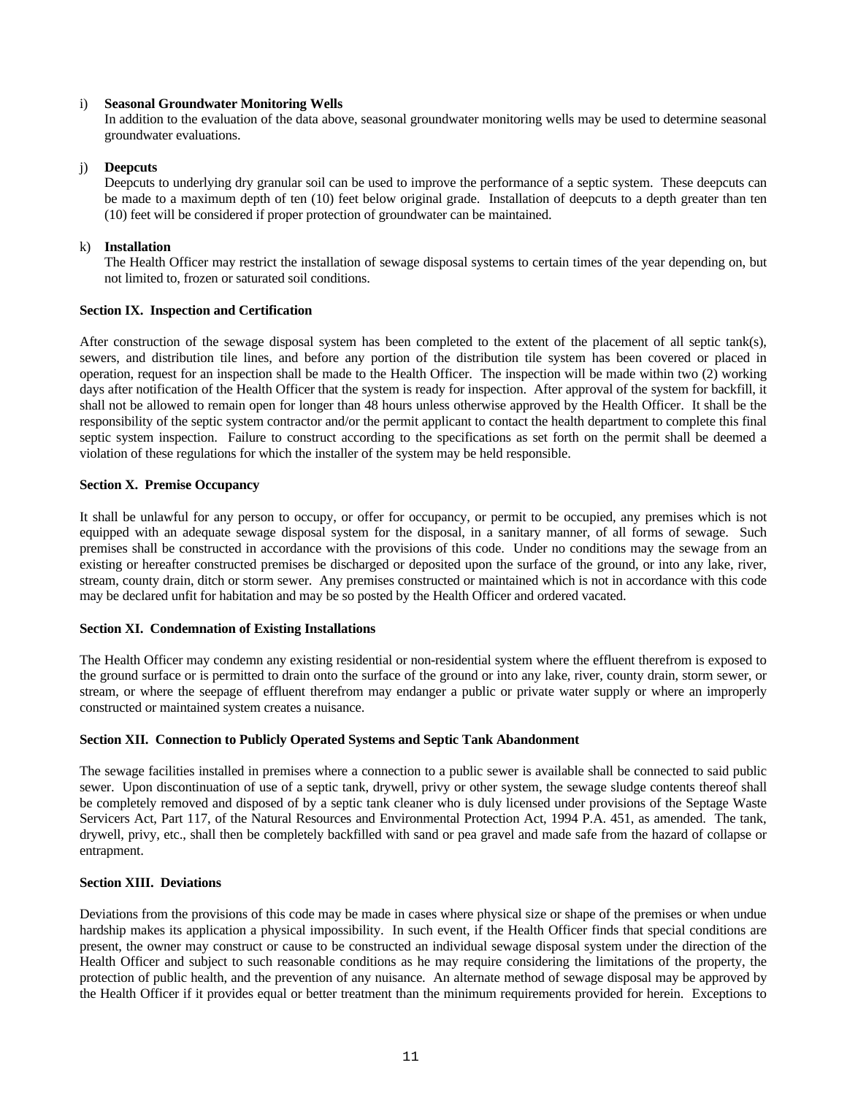## i) **Seasonal Groundwater Monitoring Wells**

In addition to the evaluation of the data above, seasonal groundwater monitoring wells may be used to determine seasonal groundwater evaluations.

## j) **Deepcuts**

Deepcuts to underlying dry granular soil can be used to improve the performance of a septic system. These deepcuts can be made to a maximum depth of ten (10) feet below original grade. Installation of deepcuts to a depth greater than ten (10) feet will be considered if proper protection of groundwater can be maintained.

## k) **Installation**

The Health Officer may restrict the installation of sewage disposal systems to certain times of the year depending on, but not limited to, frozen or saturated soil conditions.

## **Section IX. Inspection and Certification**

After construction of the sewage disposal system has been completed to the extent of the placement of all septic tank(s), sewers, and distribution tile lines, and before any portion of the distribution tile system has been covered or placed in operation, request for an inspection shall be made to the Health Officer. The inspection will be made within two (2) working days after notification of the Health Officer that the system is ready for inspection. After approval of the system for backfill, it shall not be allowed to remain open for longer than 48 hours unless otherwise approved by the Health Officer. It shall be the responsibility of the septic system contractor and/or the permit applicant to contact the health department to complete this final septic system inspection. Failure to construct according to the specifications as set forth on the permit shall be deemed a violation of these regulations for which the installer of the system may be held responsible.

## **Section X. Premise Occupancy**

It shall be unlawful for any person to occupy, or offer for occupancy, or permit to be occupied, any premises which is not equipped with an adequate sewage disposal system for the disposal, in a sanitary manner, of all forms of sewage. Such premises shall be constructed in accordance with the provisions of this code. Under no conditions may the sewage from an existing or hereafter constructed premises be discharged or deposited upon the surface of the ground, or into any lake, river, stream, county drain, ditch or storm sewer. Any premises constructed or maintained which is not in accordance with this code may be declared unfit for habitation and may be so posted by the Health Officer and ordered vacated.

## **Section XI. Condemnation of Existing Installations**

The Health Officer may condemn any existing residential or non-residential system where the effluent therefrom is exposed to the ground surface or is permitted to drain onto the surface of the ground or into any lake, river, county drain, storm sewer, or stream, or where the seepage of effluent therefrom may endanger a public or private water supply or where an improperly constructed or maintained system creates a nuisance.

## **Section XII. Connection to Publicly Operated Systems and Septic Tank Abandonment**

The sewage facilities installed in premises where a connection to a public sewer is available shall be connected to said public sewer. Upon discontinuation of use of a septic tank, drywell, privy or other system, the sewage sludge contents thereof shall be completely removed and disposed of by a septic tank cleaner who is duly licensed under provisions of the Septage Waste Servicers Act, Part 117, of the Natural Resources and Environmental Protection Act, 1994 P.A. 451, as amended. The tank, drywell, privy, etc., shall then be completely backfilled with sand or pea gravel and made safe from the hazard of collapse or entrapment.

## **Section XIII. Deviations**

Deviations from the provisions of this code may be made in cases where physical size or shape of the premises or when undue hardship makes its application a physical impossibility. In such event, if the Health Officer finds that special conditions are present, the owner may construct or cause to be constructed an individual sewage disposal system under the direction of the Health Officer and subject to such reasonable conditions as he may require considering the limitations of the property, the protection of public health, and the prevention of any nuisance. An alternate method of sewage disposal may be approved by the Health Officer if it provides equal or better treatment than the minimum requirements provided for herein. Exceptions to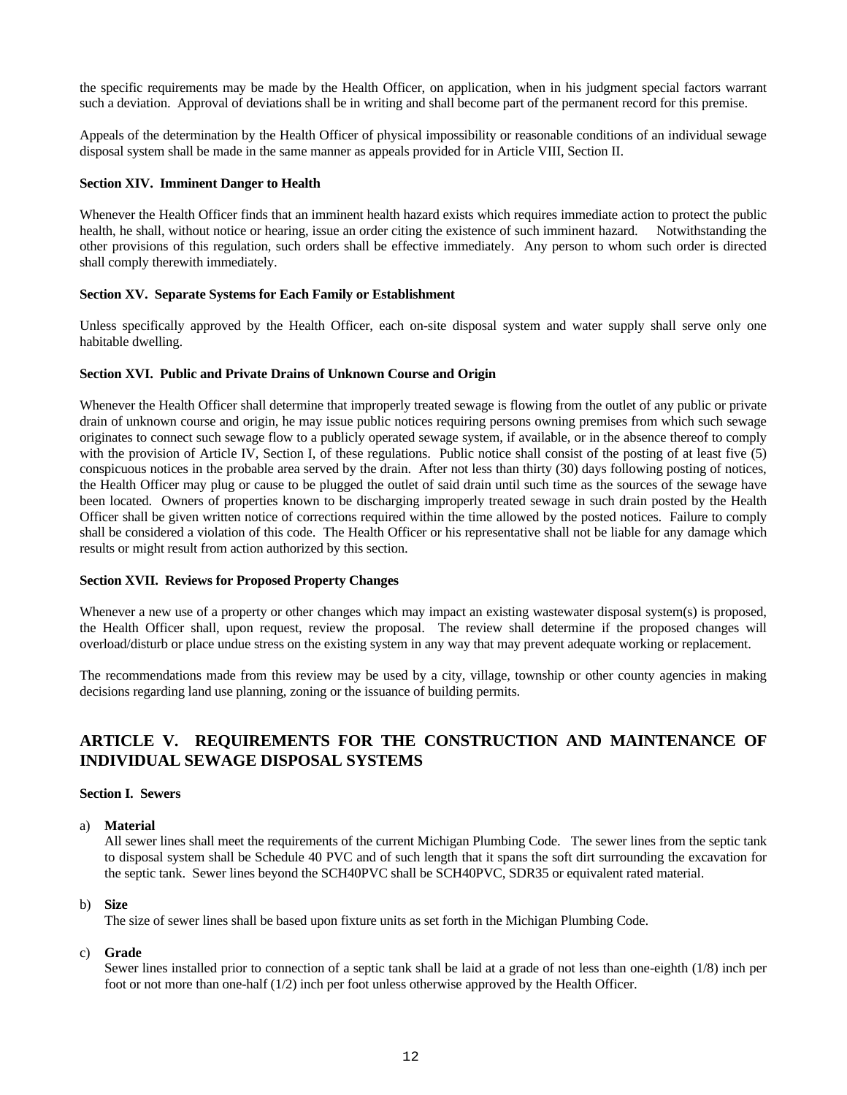the specific requirements may be made by the Health Officer, on application, when in his judgment special factors warrant such a deviation. Approval of deviations shall be in writing and shall become part of the permanent record for this premise.

Appeals of the determination by the Health Officer of physical impossibility or reasonable conditions of an individual sewage disposal system shall be made in the same manner as appeals provided for in Article VIII, Section II.

## **Section XIV. Imminent Danger to Health**

Whenever the Health Officer finds that an imminent health hazard exists which requires immediate action to protect the public health, he shall, without notice or hearing, issue an order citing the existence of such imminent hazard. Notwithstanding the other provisions of this regulation, such orders shall be effective immediately. Any person to whom such order is directed shall comply therewith immediately.

## **Section XV. Separate Systems for Each Family or Establishment**

Unless specifically approved by the Health Officer, each on-site disposal system and water supply shall serve only one habitable dwelling.

## **Section XVI. Public and Private Drains of Unknown Course and Origin**

Whenever the Health Officer shall determine that improperly treated sewage is flowing from the outlet of any public or private drain of unknown course and origin, he may issue public notices requiring persons owning premises from which such sewage originates to connect such sewage flow to a publicly operated sewage system, if available, or in the absence thereof to comply with the provision of Article IV, Section I, of these regulations. Public notice shall consist of the posting of at least five (5) conspicuous notices in the probable area served by the drain. After not less than thirty (30) days following posting of notices, the Health Officer may plug or cause to be plugged the outlet of said drain until such time as the sources of the sewage have been located. Owners of properties known to be discharging improperly treated sewage in such drain posted by the Health Officer shall be given written notice of corrections required within the time allowed by the posted notices. Failure to comply shall be considered a violation of this code. The Health Officer or his representative shall not be liable for any damage which results or might result from action authorized by this section.

## **Section XVII. Reviews for Proposed Property Changes**

Whenever a new use of a property or other changes which may impact an existing wastewater disposal system(s) is proposed, the Health Officer shall, upon request, review the proposal. The review shall determine if the proposed changes will overload/disturb or place undue stress on the existing system in any way that may prevent adequate working or replacement.

The recommendations made from this review may be used by a city, village, township or other county agencies in making decisions regarding land use planning, zoning or the issuance of building permits.

# **ARTICLE V. REQUIREMENTS FOR THE CONSTRUCTION AND MAINTENANCE OF INDIVIDUAL SEWAGE DISPOSAL SYSTEMS**

## **Section I. Sewers**

## a) **Material**

All sewer lines shall meet the requirements of the current Michigan Plumbing Code. The sewer lines from the septic tank to disposal system shall be Schedule 40 PVC and of such length that it spans the soft dirt surrounding the excavation for the septic tank. Sewer lines beyond the SCH40PVC shall be SCH40PVC, SDR35 or equivalent rated material.

## b) **Size**

The size of sewer lines shall be based upon fixture units as set forth in the Michigan Plumbing Code.

## c) **Grade**

Sewer lines installed prior to connection of a septic tank shall be laid at a grade of not less than one-eighth (1/8) inch per foot or not more than one-half (1/2) inch per foot unless otherwise approved by the Health Officer.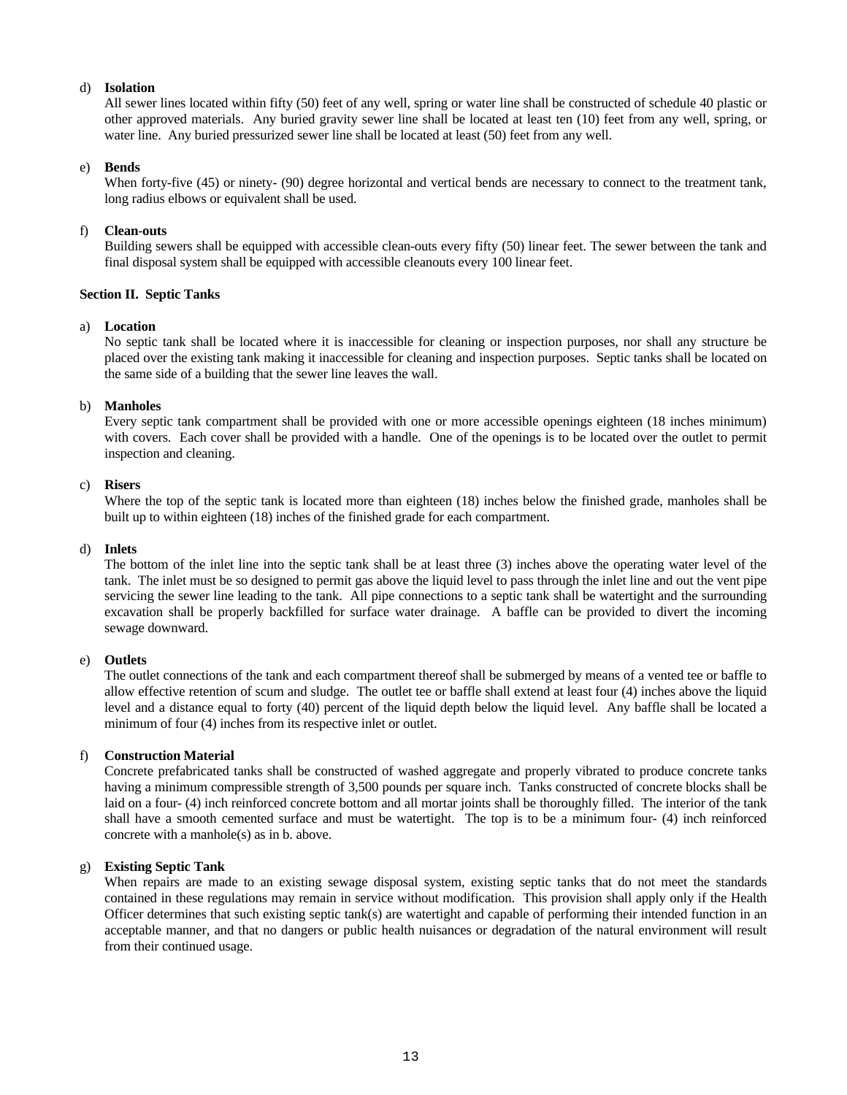## d) **Isolation**

All sewer lines located within fifty (50) feet of any well, spring or water line shall be constructed of schedule 40 plastic or other approved materials. Any buried gravity sewer line shall be located at least ten (10) feet from any well, spring, or water line. Any buried pressurized sewer line shall be located at least (50) feet from any well.

## e) **Bends**

When forty-five (45) or ninety- (90) degree horizontal and vertical bends are necessary to connect to the treatment tank, long radius elbows or equivalent shall be used.

## f) **Clean**-**outs**

Building sewers shall be equipped with accessible clean-outs every fifty (50) linear feet. The sewer between the tank and final disposal system shall be equipped with accessible cleanouts every 100 linear feet.

## **Section II. Septic Tanks**

## a) **Location**

No septic tank shall be located where it is inaccessible for cleaning or inspection purposes, nor shall any structure be placed over the existing tank making it inaccessible for cleaning and inspection purposes. Septic tanks shall be located on the same side of a building that the sewer line leaves the wall.

## b) **Manholes**

Every septic tank compartment shall be provided with one or more accessible openings eighteen (18 inches minimum) with covers. Each cover shall be provided with a handle. One of the openings is to be located over the outlet to permit inspection and cleaning.

## c) **Risers**

Where the top of the septic tank is located more than eighteen (18) inches below the finished grade, manholes shall be built up to within eighteen (18) inches of the finished grade for each compartment.

## d) **Inlets**

The bottom of the inlet line into the septic tank shall be at least three (3) inches above the operating water level of the tank. The inlet must be so designed to permit gas above the liquid level to pass through the inlet line and out the vent pipe servicing the sewer line leading to the tank. All pipe connections to a septic tank shall be watertight and the surrounding excavation shall be properly backfilled for surface water drainage. A baffle can be provided to divert the incoming sewage downward.

## e) **Outlets**

The outlet connections of the tank and each compartment thereof shall be submerged by means of a vented tee or baffle to allow effective retention of scum and sludge. The outlet tee or baffle shall extend at least four (4) inches above the liquid level and a distance equal to forty (40) percent of the liquid depth below the liquid level. Any baffle shall be located a minimum of four (4) inches from its respective inlet or outlet.

## f) **Construction Material**

Concrete prefabricated tanks shall be constructed of washed aggregate and properly vibrated to produce concrete tanks having a minimum compressible strength of 3,500 pounds per square inch. Tanks constructed of concrete blocks shall be laid on a four- (4) inch reinforced concrete bottom and all mortar joints shall be thoroughly filled. The interior of the tank shall have a smooth cemented surface and must be watertight. The top is to be a minimum four- (4) inch reinforced concrete with a manhole(s) as in b. above.

## g) **Existing Septic Tank**

When repairs are made to an existing sewage disposal system, existing septic tanks that do not meet the standards contained in these regulations may remain in service without modification. This provision shall apply only if the Health Officer determines that such existing septic tank(s) are watertight and capable of performing their intended function in an acceptable manner, and that no dangers or public health nuisances or degradation of the natural environment will result from their continued usage.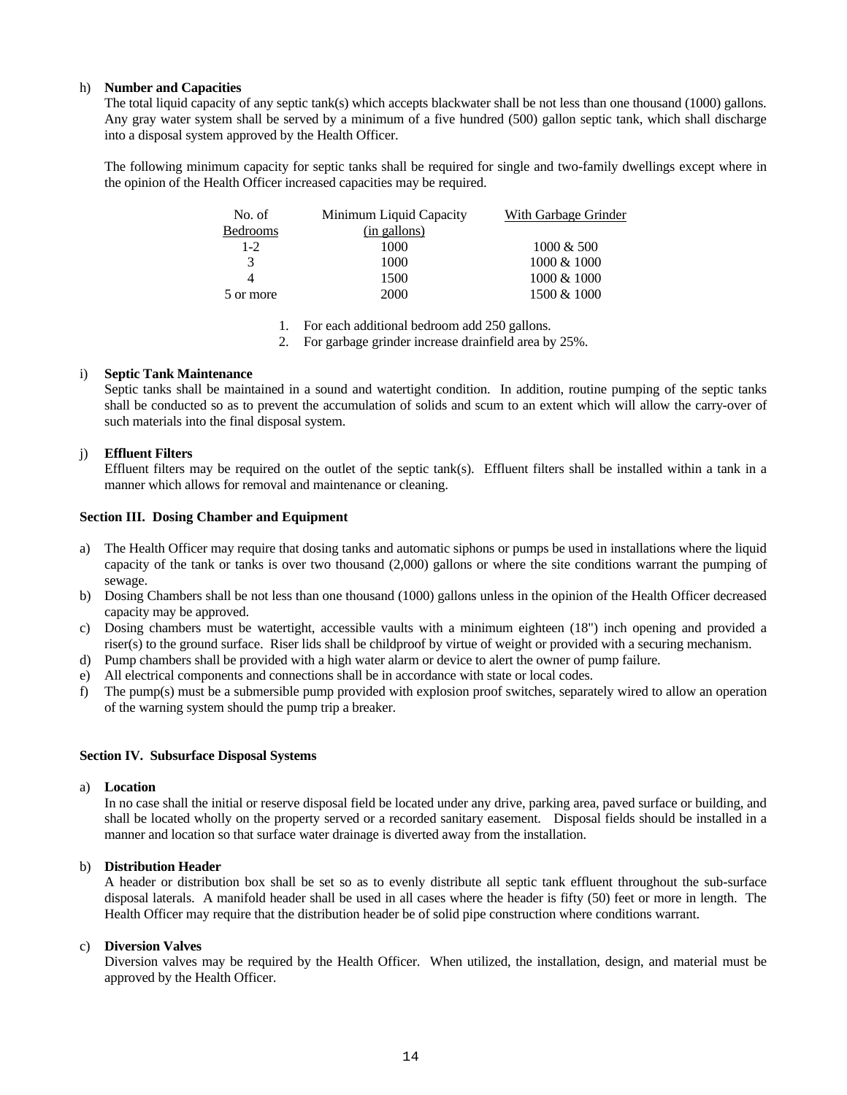## h) **Number and Capacities**

The total liquid capacity of any septic tank(s) which accepts blackwater shall be not less than one thousand (1000) gallons. Any gray water system shall be served by a minimum of a five hundred (500) gallon septic tank, which shall discharge into a disposal system approved by the Health Officer.

The following minimum capacity for septic tanks shall be required for single and two-family dwellings except where in the opinion of the Health Officer increased capacities may be required.

| No. of          | Minimum Liquid Capacity | With Garbage Grinder |
|-----------------|-------------------------|----------------------|
| <b>Bedrooms</b> | (in gallons)            |                      |
| $1-2$           | 1000                    | $1000 \& 500$        |
| 3               | 1000                    | 1000 & 1000          |
| 4               | 1500                    | 1000 & 1000          |
| 5 or more       | 2000                    | 1500 & 1000          |

1. For each additional bedroom add 250 gallons.

2. For garbage grinder increase drainfield area by 25%.

## i) **Septic Tank Maintenance**

Septic tanks shall be maintained in a sound and watertight condition. In addition, routine pumping of the septic tanks shall be conducted so as to prevent the accumulation of solids and scum to an extent which will allow the carry-over of such materials into the final disposal system.

## j) **Effluent Filters**

Effluent filters may be required on the outlet of the septic tank(s). Effluent filters shall be installed within a tank in a manner which allows for removal and maintenance or cleaning.

## **Section III. Dosing Chamber and Equipment**

- a) The Health Officer may require that dosing tanks and automatic siphons or pumps be used in installations where the liquid capacity of the tank or tanks is over two thousand (2,000) gallons or where the site conditions warrant the pumping of sewage.
- b) Dosing Chambers shall be not less than one thousand (1000) gallons unless in the opinion of the Health Officer decreased capacity may be approved.
- c) Dosing chambers must be watertight, accessible vaults with a minimum eighteen (18") inch opening and provided a riser(s) to the ground surface. Riser lids shall be childproof by virtue of weight or provided with a securing mechanism.
- d) Pump chambers shall be provided with a high water alarm or device to alert the owner of pump failure.
- e) All electrical components and connections shall be in accordance with state or local codes.
- f) The pump(s) must be a submersible pump provided with explosion proof switches, separately wired to allow an operation of the warning system should the pump trip a breaker.

## **Section IV. Subsurface Disposal Systems**

## a) **Location**

In no case shall the initial or reserve disposal field be located under any drive, parking area, paved surface or building, and shall be located wholly on the property served or a recorded sanitary easement. Disposal fields should be installed in a manner and location so that surface water drainage is diverted away from the installation.

## b) **Distribution Header**

A header or distribution box shall be set so as to evenly distribute all septic tank effluent throughout the sub-surface disposal laterals. A manifold header shall be used in all cases where the header is fifty (50) feet or more in length. The Health Officer may require that the distribution header be of solid pipe construction where conditions warrant.

## c) **Diversion Valves**

Diversion valves may be required by the Health Officer. When utilized, the installation, design, and material must be approved by the Health Officer.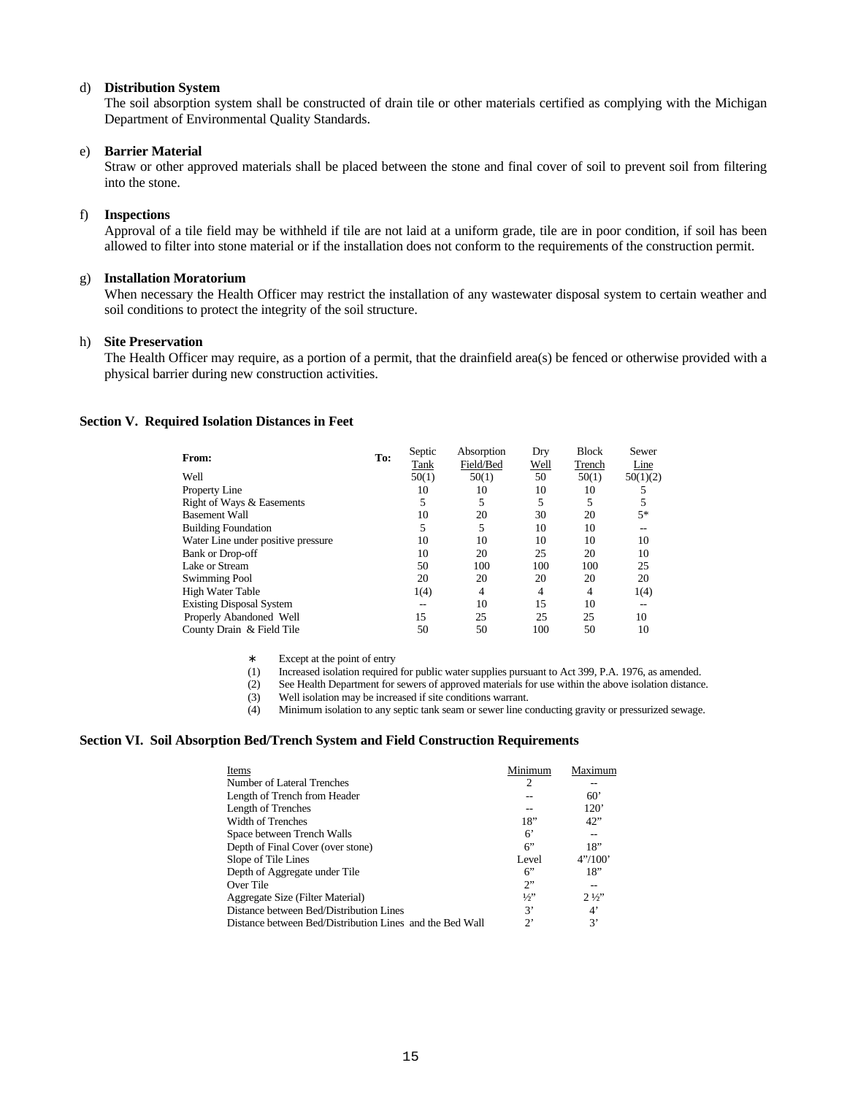#### d) **Distribution System**

The soil absorption system shall be constructed of drain tile or other materials certified as complying with the Michigan Department of Environmental Quality Standards.

## e) **Barrier Material**

Straw or other approved materials shall be placed between the stone and final cover of soil to prevent soil from filtering into the stone.

#### f) **Inspections**

Approval of a tile field may be withheld if tile are not laid at a uniform grade, tile are in poor condition, if soil has been allowed to filter into stone material or if the installation does not conform to the requirements of the construction permit.

## g) **Installation Moratorium**

When necessary the Health Officer may restrict the installation of any wastewater disposal system to certain weather and soil conditions to protect the integrity of the soil structure.

## h) **Site Preservation**

The Health Officer may require, as a portion of a permit, that the drainfield area(s) be fenced or otherwise provided with a physical barrier during new construction activities.

#### **Section V. Required Isolation Distances in Feet**

| From:                              | To: | Septic<br>Tank | Absorption<br>Field/Bed | Dry<br>Well | <b>Block</b><br>Trench | Sewer<br>Line |
|------------------------------------|-----|----------------|-------------------------|-------------|------------------------|---------------|
| Well                               |     | 50(1)          | 50(1)                   | 50          | 50(1)                  | 50(1)(2)      |
| Property Line                      |     | 10             | 10                      | 10          | 10                     | 5             |
| Right of Ways & Easements          |     | 5              |                         | 5           | 5                      | 5             |
| <b>Basement Wall</b>               |     | 10             | 20                      | 30          | 20                     | $5*$          |
| <b>Building Foundation</b>         |     | 5              | 5                       | 10          | 10                     |               |
| Water Line under positive pressure |     | 10             | 10                      | 10          | 10                     | 10            |
| <b>Bank or Drop-off</b>            |     | 10             | 20                      | 25          | 20                     | 10            |
| Lake or Stream                     |     | 50             | 100                     | 100         | 100                    | 25            |
| Swimming Pool                      |     | 20             | 20                      | 20          | 20                     | 20            |
| High Water Table                   |     | 1(4)           | $\overline{4}$          | 4           | 4                      | 1(4)          |
| <b>Existing Disposal System</b>    |     |                | 10                      | 15          | 10                     | --            |
| Properly Abandoned Well            |     | 15             | 25                      | 25          | 25                     | 10            |
| County Drain & Field Tile          |     | 50             | 50                      | 100         | 50                     | 10            |

∗ Except at the point of entry

Increased isolation required for public water supplies pursuant to Act 399, P.A. 1976, as amended.

(2) See Health Department for sewers of approved materials for use within the above isolation distance.

(3) Well isolation may be increased if site conditions warrant.

(4) Minimum isolation to any septic tank seam or sewer line conducting gravity or pressurized sewage.

#### **Section VI. Soil Absorption Bed/Trench System and Field Construction Requirements**

| Items                                                    | Minimum       | Maximum        |
|----------------------------------------------------------|---------------|----------------|
| Number of Lateral Trenches                               | 2             |                |
| Length of Trench from Header                             |               | 60'            |
| Length of Trenches                                       |               | 120'           |
| Width of Trenches                                        | 18"           | 42"            |
| Space between Trench Walls                               | 6'            |                |
| Depth of Final Cover (over stone)                        | 6             | 18"            |
| Slope of Tile Lines                                      | Level         | 4''/100'       |
| Depth of Aggregate under Tile                            | 6             | 18"            |
| Over Tile                                                | 2             |                |
| Aggregate Size (Filter Material)                         | $\frac{1}{2}$ | $2\frac{1}{2}$ |
| Distance between Bed/Distribution Lines                  | 3,            | $4^{\circ}$    |
| Distance between Bed/Distribution Lines and the Bed Wall | 2             | 3'             |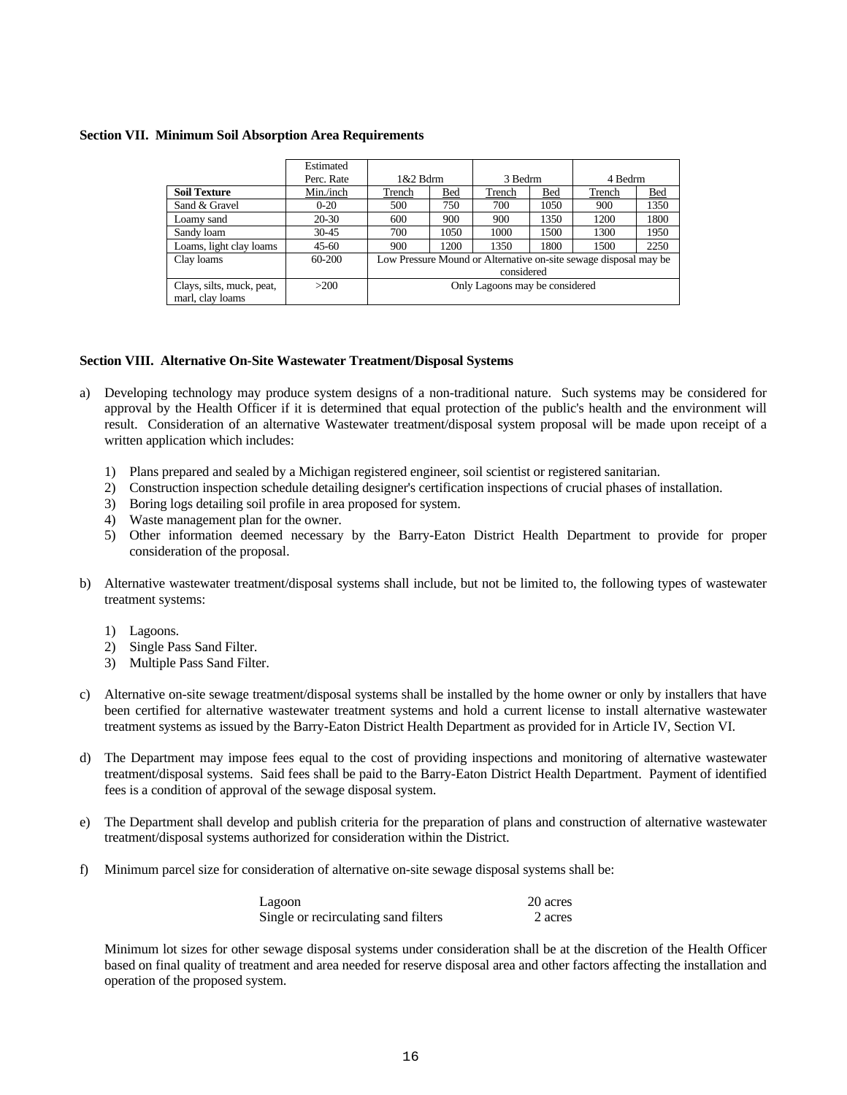#### **Section VII. Minimum Soil Absorption Area Requirements**

|                           | Estimated  |                                                                  |      |         |            |         |      |
|---------------------------|------------|------------------------------------------------------------------|------|---------|------------|---------|------|
|                           | Perc. Rate | $1&2$ Bdrm                                                       |      | 3 Bedrm |            | 4 Bedrm |      |
| <b>Soil Texture</b>       | Min./inch  | Trench                                                           | Bed  | Trench  | <b>Bed</b> | Trench  | Bed  |
| Sand & Gravel             | $0 - 20$   | 500                                                              | 750  | 700     | 1050       | 900     | 1350 |
| Loamy sand                | $20-30$    | 600                                                              | 900  | 900     | 1350       | 1200    | 1800 |
| Sandy loam                | $30 - 45$  | 700                                                              | 1050 | 1000    | 1500       | 1300    | 1950 |
| Loams, light clay loams   | $45 - 60$  | 900                                                              | 1200 | 1350    | 1800       | 1500    | 2250 |
| Clay loams                | 60-200     | Low Pressure Mound or Alternative on-site sewage disposal may be |      |         |            |         |      |
|                           |            | considered                                                       |      |         |            |         |      |
| Clays, silts, muck, peat, | >200       | Only Lagoons may be considered                                   |      |         |            |         |      |
| marl, clay loams          |            |                                                                  |      |         |            |         |      |

## **Section VIII. Alternative On-Site Wastewater Treatment/Disposal Systems**

- a) Developing technology may produce system designs of a non-traditional nature. Such systems may be considered for approval by the Health Officer if it is determined that equal protection of the public's health and the environment will result. Consideration of an alternative Wastewater treatment/disposal system proposal will be made upon receipt of a written application which includes:
	- 1) Plans prepared and sealed by a Michigan registered engineer, soil scientist or registered sanitarian.
	- 2) Construction inspection schedule detailing designer's certification inspections of crucial phases of installation.
	- 3) Boring logs detailing soil profile in area proposed for system.
	- 4) Waste management plan for the owner.
	- 5) Other information deemed necessary by the Barry-Eaton District Health Department to provide for proper consideration of the proposal.
- b) Alternative wastewater treatment/disposal systems shall include, but not be limited to, the following types of wastewater treatment systems:
	- 1) Lagoons.
	- 2) Single Pass Sand Filter.
	- 3) Multiple Pass Sand Filter.
- c) Alternative on-site sewage treatment/disposal systems shall be installed by the home owner or only by installers that have been certified for alternative wastewater treatment systems and hold a current license to install alternative wastewater treatment systems as issued by the Barry-Eaton District Health Department as provided for in Article IV, Section VI.
- d) The Department may impose fees equal to the cost of providing inspections and monitoring of alternative wastewater treatment/disposal systems. Said fees shall be paid to the Barry-Eaton District Health Department. Payment of identified fees is a condition of approval of the sewage disposal system.
- e) The Department shall develop and publish criteria for the preparation of plans and construction of alternative wastewater treatment/disposal systems authorized for consideration within the District.
- f) Minimum parcel size for consideration of alternative on-site sewage disposal systems shall be:

| Lagoon                               | 20 acres |
|--------------------------------------|----------|
| Single or recirculating sand filters | 2 acres  |

Minimum lot sizes for other sewage disposal systems under consideration shall be at the discretion of the Health Officer based on final quality of treatment and area needed for reserve disposal area and other factors affecting the installation and operation of the proposed system.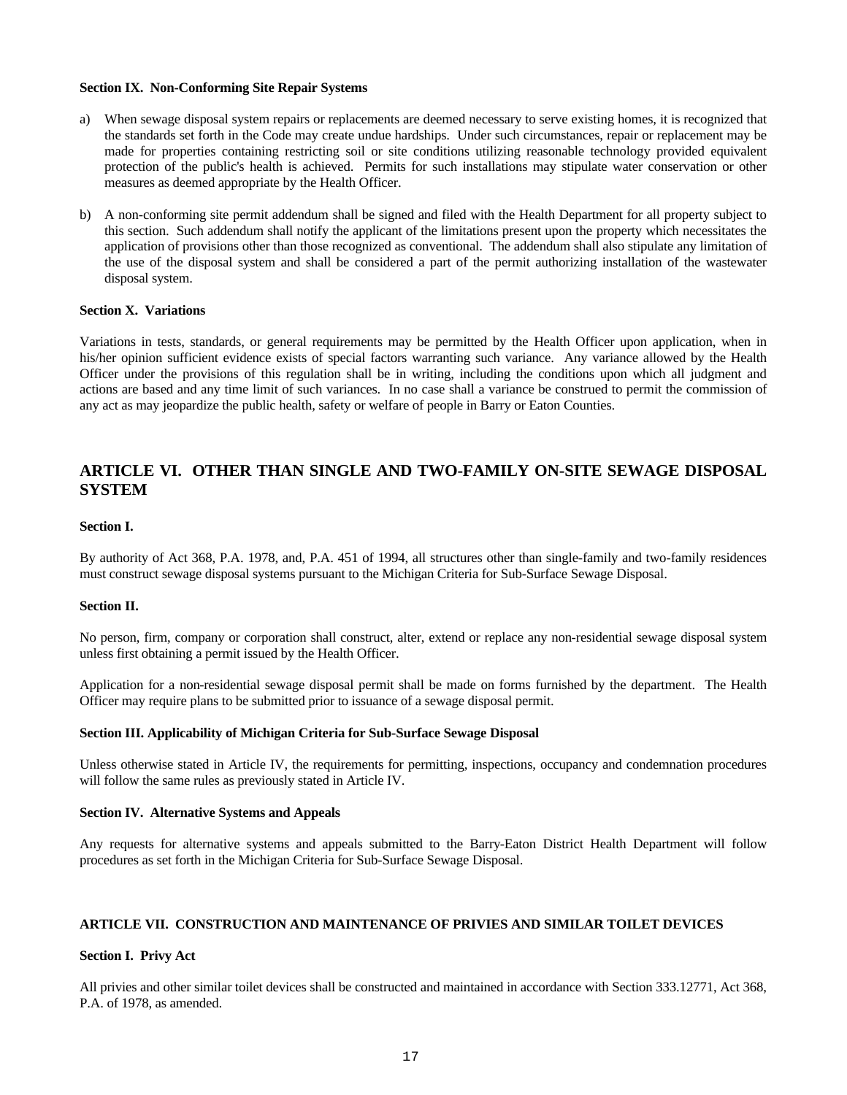## **Section IX. Non-Conforming Site Repair Systems**

- a) When sewage disposal system repairs or replacements are deemed necessary to serve existing homes, it is recognized that the standards set forth in the Code may create undue hardships. Under such circumstances, repair or replacement may be made for properties containing restricting soil or site conditions utilizing reasonable technology provided equivalent protection of the public's health is achieved. Permits for such installations may stipulate water conservation or other measures as deemed appropriate by the Health Officer.
- b) A non-conforming site permit addendum shall be signed and filed with the Health Department for all property subject to this section. Such addendum shall notify the applicant of the limitations present upon the property which necessitates the application of provisions other than those recognized as conventional. The addendum shall also stipulate any limitation of the use of the disposal system and shall be considered a part of the permit authorizing installation of the wastewater disposal system.

#### **Section X. Variations**

Variations in tests, standards, or general requirements may be permitted by the Health Officer upon application, when in his/her opinion sufficient evidence exists of special factors warranting such variance. Any variance allowed by the Health Officer under the provisions of this regulation shall be in writing, including the conditions upon which all judgment and actions are based and any time limit of such variances. In no case shall a variance be construed to permit the commission of any act as may jeopardize the public health, safety or welfare of people in Barry or Eaton Counties.

# **ARTICLE VI. OTHER THAN SINGLE AND TWO-FAMILY ON-SITE SEWAGE DISPOSAL SYSTEM**

### **Section I.**

By authority of Act 368, P.A. 1978, and, P.A. 451 of 1994, all structures other than single-family and two-family residences must construct sewage disposal systems pursuant to the Michigan Criteria for Sub-Surface Sewage Disposal.

#### **Section II.**

No person, firm, company or corporation shall construct, alter, extend or replace any non-residential sewage disposal system unless first obtaining a permit issued by the Health Officer.

Application for a non-residential sewage disposal permit shall be made on forms furnished by the department. The Health Officer may require plans to be submitted prior to issuance of a sewage disposal permit.

#### **Section III. Applicability of Michigan Criteria for Sub-Surface Sewage Disposal**

Unless otherwise stated in Article IV, the requirements for permitting, inspections, occupancy and condemnation procedures will follow the same rules as previously stated in Article IV.

## **Section IV. Alternative Systems and Appeals**

Any requests for alternative systems and appeals submitted to the Barry-Eaton District Health Department will follow procedures as set forth in the Michigan Criteria for Sub-Surface Sewage Disposal.

#### **ARTICLE VII. CONSTRUCTION AND MAINTENANCE OF PRIVIES AND SIMILAR TOILET DEVICES**

#### **Section I. Privy Act**

All privies and other similar toilet devices shall be constructed and maintained in accordance with Section 333.12771, Act 368, P.A. of 1978, as amended.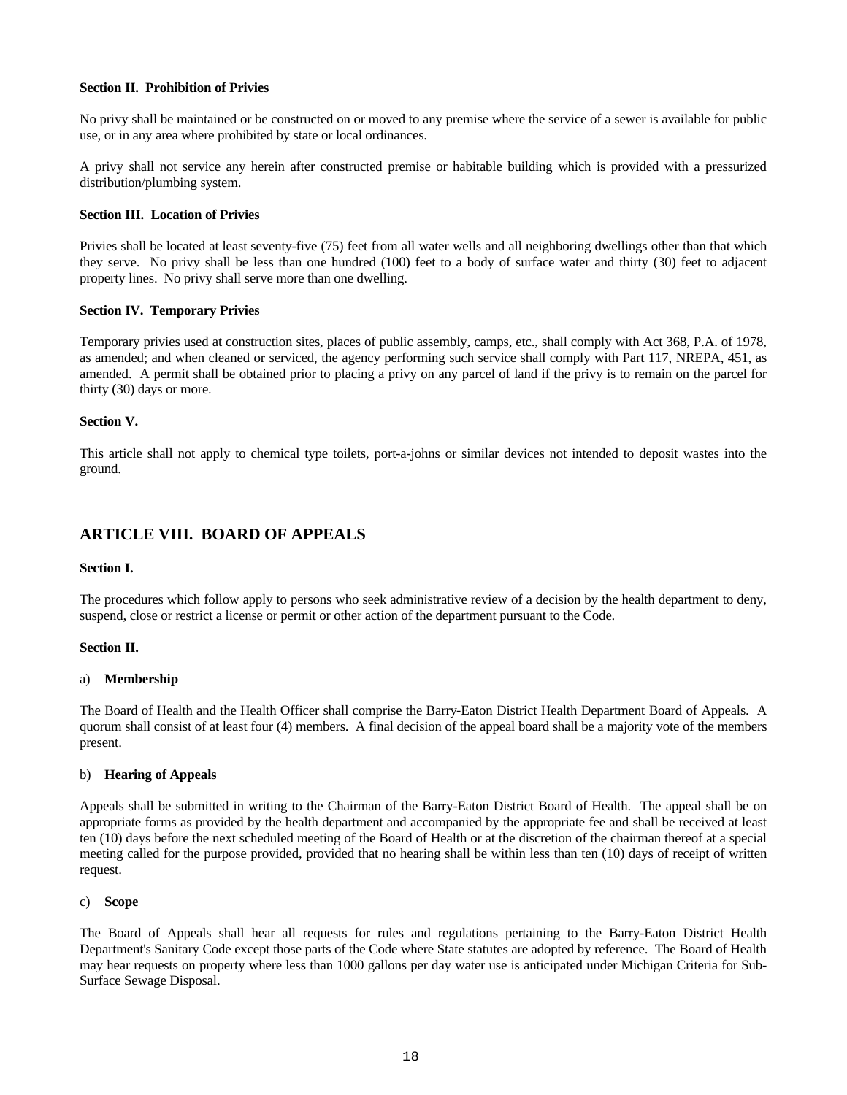## **Section II. Prohibition of Privies**

No privy shall be maintained or be constructed on or moved to any premise where the service of a sewer is available for public use, or in any area where prohibited by state or local ordinances.

A privy shall not service any herein after constructed premise or habitable building which is provided with a pressurized distribution/plumbing system.

## **Section III. Location of Privies**

Privies shall be located at least seventy-five (75) feet from all water wells and all neighboring dwellings other than that which they serve. No privy shall be less than one hundred (100) feet to a body of surface water and thirty (30) feet to adjacent property lines. No privy shall serve more than one dwelling.

## **Section IV. Temporary Privies**

Temporary privies used at construction sites, places of public assembly, camps, etc., shall comply with Act 368, P.A. of 1978, as amended; and when cleaned or serviced, the agency performing such service shall comply with Part 117, NREPA, 451, as amended. A permit shall be obtained prior to placing a privy on any parcel of land if the privy is to remain on the parcel for thirty (30) days or more.

## **Section V.**

This article shall not apply to chemical type toilets, port-a-johns or similar devices not intended to deposit wastes into the ground.

# **ARTICLE VIII. BOARD OF APPEALS**

## **Section I.**

The procedures which follow apply to persons who seek administrative review of a decision by the health department to deny, suspend, close or restrict a license or permit or other action of the department pursuant to the Code.

## **Section II.**

## a) **Membership**

The Board of Health and the Health Officer shall comprise the Barry-Eaton District Health Department Board of Appeals. A quorum shall consist of at least four (4) members. A final decision of the appeal board shall be a majority vote of the members present.

## b) **Hearing of Appeals**

Appeals shall be submitted in writing to the Chairman of the Barry-Eaton District Board of Health. The appeal shall be on appropriate forms as provided by the health department and accompanied by the appropriate fee and shall be received at least ten (10) days before the next scheduled meeting of the Board of Health or at the discretion of the chairman thereof at a special meeting called for the purpose provided, provided that no hearing shall be within less than ten (10) days of receipt of written request.

## c) **Scope**

The Board of Appeals shall hear all requests for rules and regulations pertaining to the Barry-Eaton District Health Department's Sanitary Code except those parts of the Code where State statutes are adopted by reference. The Board of Health may hear requests on property where less than 1000 gallons per day water use is anticipated under Michigan Criteria for Sub-Surface Sewage Disposal.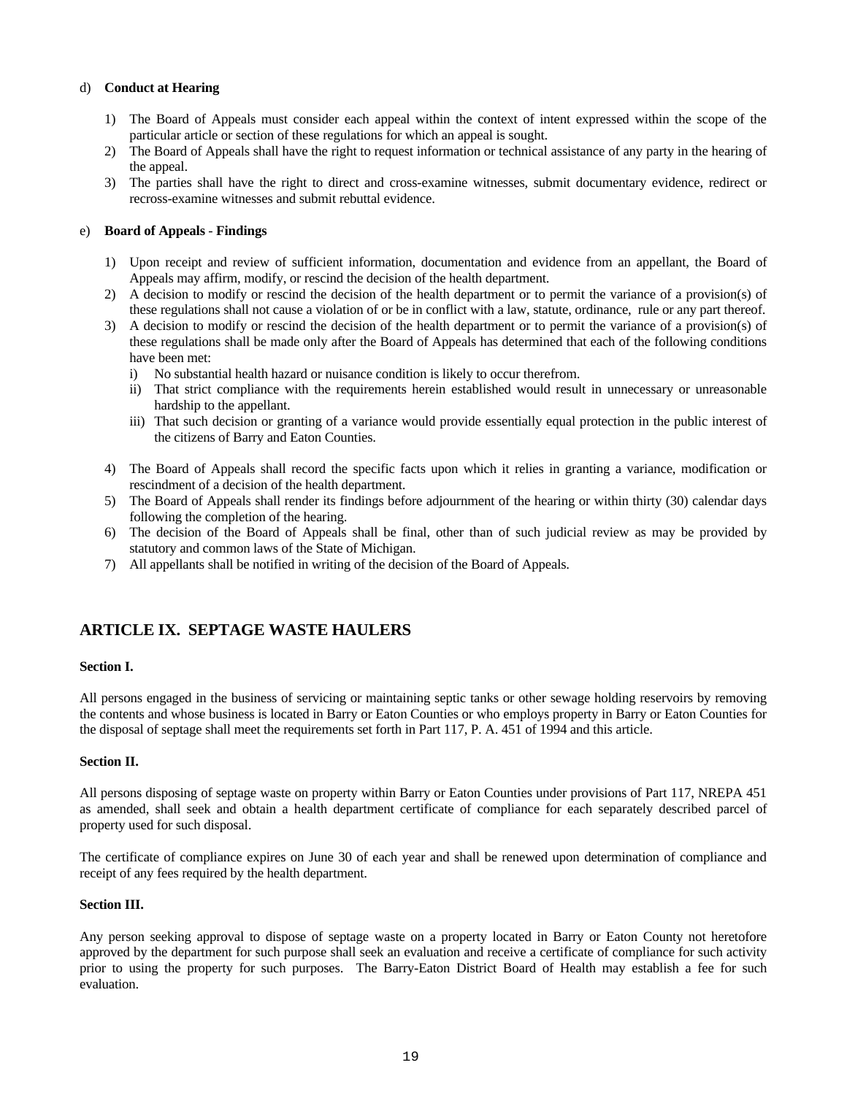## d) **Conduct at Hearing**

- 1) The Board of Appeals must consider each appeal within the context of intent expressed within the scope of the particular article or section of these regulations for which an appeal is sought.
- 2) The Board of Appeals shall have the right to request information or technical assistance of any party in the hearing of the appeal.
- 3) The parties shall have the right to direct and cross-examine witnesses, submit documentary evidence, redirect or recross-examine witnesses and submit rebuttal evidence.

## e) **Board of Appeals** - **Findings**

- 1) Upon receipt and review of sufficient information, documentation and evidence from an appellant, the Board of Appeals may affirm, modify, or rescind the decision of the health department.
- 2) A decision to modify or rescind the decision of the health department or to permit the variance of a provision(s) of these regulations shall not cause a violation of or be in conflict with a law, statute, ordinance, rule or any part thereof.
- 3) A decision to modify or rescind the decision of the health department or to permit the variance of a provision(s) of these regulations shall be made only after the Board of Appeals has determined that each of the following conditions have been met:
	- i) No substantial health hazard or nuisance condition is likely to occur therefrom.
	- ii) That strict compliance with the requirements herein established would result in unnecessary or unreasonable hardship to the appellant.
	- iii) That such decision or granting of a variance would provide essentially equal protection in the public interest of the citizens of Barry and Eaton Counties.
- 4) The Board of Appeals shall record the specific facts upon which it relies in granting a variance, modification or rescindment of a decision of the health department.
- 5) The Board of Appeals shall render its findings before adjournment of the hearing or within thirty (30) calendar days following the completion of the hearing.
- 6) The decision of the Board of Appeals shall be final, other than of such judicial review as may be provided by statutory and common laws of the State of Michigan.
- 7) All appellants shall be notified in writing of the decision of the Board of Appeals.

## **ARTICLE IX. SEPTAGE WASTE HAULERS**

## **Section I.**

All persons engaged in the business of servicing or maintaining septic tanks or other sewage holding reservoirs by removing the contents and whose business is located in Barry or Eaton Counties or who employs property in Barry or Eaton Counties for the disposal of septage shall meet the requirements set forth in Part 117, P. A. 451 of 1994 and this article.

#### **Section II.**

All persons disposing of septage waste on property within Barry or Eaton Counties under provisions of Part 117, NREPA 451 as amended, shall seek and obtain a health department certificate of compliance for each separately described parcel of property used for such disposal.

The certificate of compliance expires on June 30 of each year and shall be renewed upon determination of compliance and receipt of any fees required by the health department.

#### **Section III.**

Any person seeking approval to dispose of septage waste on a property located in Barry or Eaton County not heretofore approved by the department for such purpose shall seek an evaluation and receive a certificate of compliance for such activity prior to using the property for such purposes. The Barry-Eaton District Board of Health may establish a fee for such evaluation.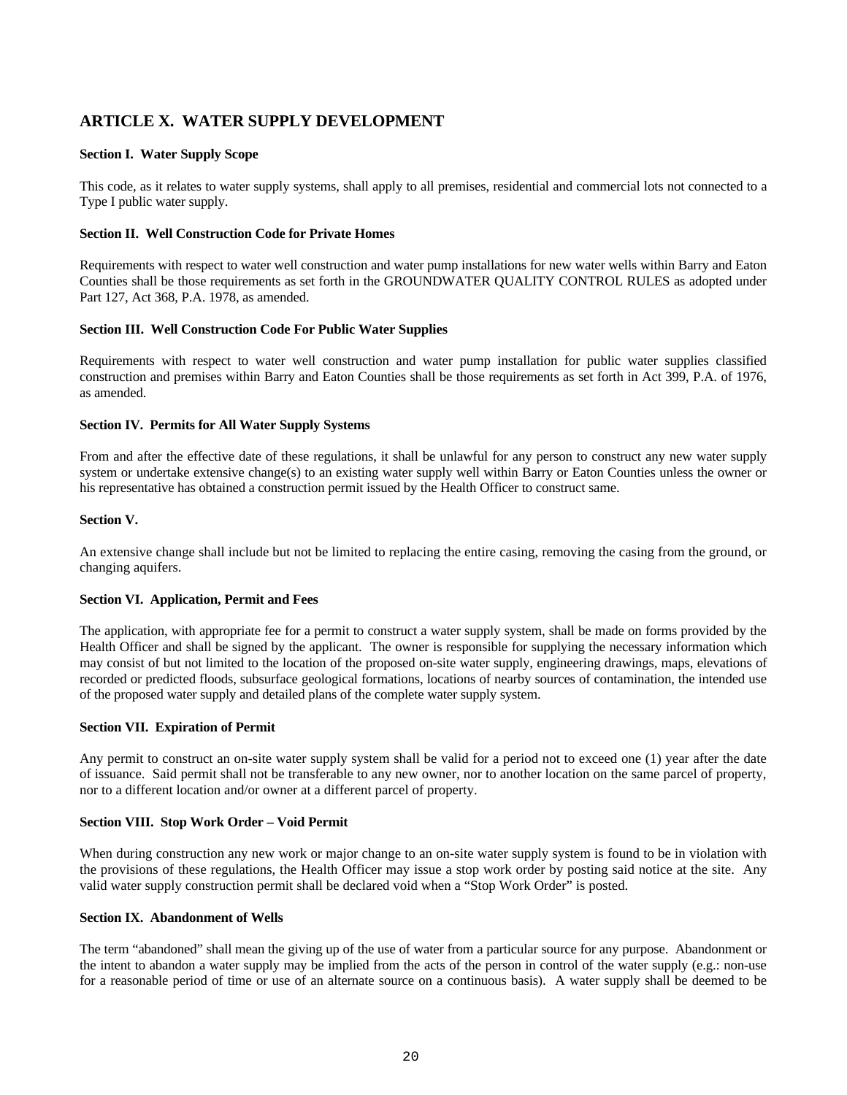# **ARTICLE X. WATER SUPPLY DEVELOPMENT**

## **Section I. Water Supply Scope**

This code, as it relates to water supply systems, shall apply to all premises, residential and commercial lots not connected to a Type I public water supply.

## **Section II. Well Construction Code for Private Homes**

Requirements with respect to water well construction and water pump installations for new water wells within Barry and Eaton Counties shall be those requirements as set forth in the GROUNDWATER QUALITY CONTROL RULES as adopted under Part 127, Act 368, P.A. 1978, as amended.

## **Section III. Well Construction Code For Public Water Supplies**

Requirements with respect to water well construction and water pump installation for public water supplies classified construction and premises within Barry and Eaton Counties shall be those requirements as set forth in Act 399, P.A. of 1976, as amended.

## **Section IV. Permits for All Water Supply Systems**

From and after the effective date of these regulations, it shall be unlawful for any person to construct any new water supply system or undertake extensive change(s) to an existing water supply well within Barry or Eaton Counties unless the owner or his representative has obtained a construction permit issued by the Health Officer to construct same.

## **Section V.**

An extensive change shall include but not be limited to replacing the entire casing, removing the casing from the ground, or changing aquifers.

## **Section VI. Application, Permit and Fees**

The application, with appropriate fee for a permit to construct a water supply system, shall be made on forms provided by the Health Officer and shall be signed by the applicant. The owner is responsible for supplying the necessary information which may consist of but not limited to the location of the proposed on-site water supply, engineering drawings, maps, elevations of recorded or predicted floods, subsurface geological formations, locations of nearby sources of contamination, the intended use of the proposed water supply and detailed plans of the complete water supply system.

## **Section VII. Expiration of Permit**

Any permit to construct an on-site water supply system shall be valid for a period not to exceed one (1) year after the date of issuance. Said permit shall not be transferable to any new owner, nor to another location on the same parcel of property, nor to a different location and/or owner at a different parcel of property.

## **Section VIII. Stop Work Order – Void Permit**

When during construction any new work or major change to an on-site water supply system is found to be in violation with the provisions of these regulations, the Health Officer may issue a stop work order by posting said notice at the site. Any valid water supply construction permit shall be declared void when a "Stop Work Order" is posted.

## **Section IX. Abandonment of Wells**

The term "abandoned" shall mean the giving up of the use of water from a particular source for any purpose. Abandonment or the intent to abandon a water supply may be implied from the acts of the person in control of the water supply (e.g.: non-use for a reasonable period of time or use of an alternate source on a continuous basis). A water supply shall be deemed to be